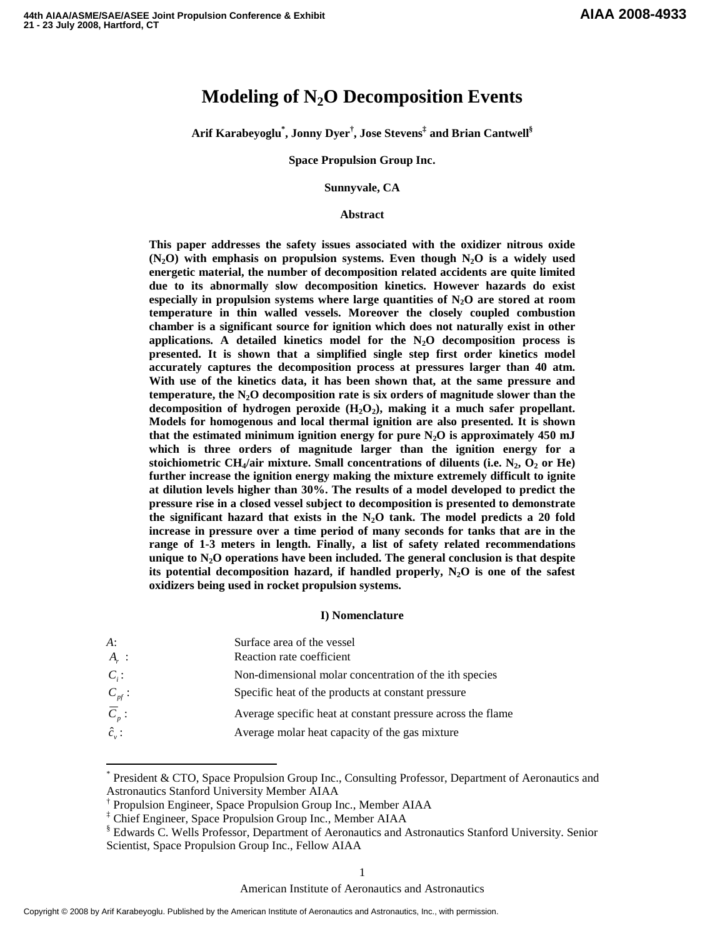# **Modeling of N2O Decomposition Events**

**Arif Karabeyoglu\* , Jonny Dyer † , Jose Stevens ‡ and Brian Cantwell §**

**Space Propulsion Group Inc.**

**Sunnyvale, CA**

## **Abstract**

**This paper addresses the safety issues associated with the oxidizer nitrous oxide**  $(N_2O)$  with emphasis on propulsion systems. Even though  $N_2O$  is a widely used **energetic material, the number of decomposition related accidents are quite limited due to its abnormally slow decomposition kinetics. However hazards do exist especially in propulsion systems where large quantities of N2O are stored at room temperature in thin walled vessels. Moreover the closely coupled combustion chamber is a significant source for ignition which does not naturally exist in other applications. A detailed kinetics model for the N2O decomposition process is presented. It is shown that a simplified single step first order kinetics model accurately captures the decomposition process at pressures larger than 40 atm. With use of the kinetics data, it has been shown that, at the same pressure and temperature, the N2O decomposition rate is six orders of magnitude slower than the decomposition of hydrogen peroxide (H2O2), making it a much safer propellant. Models for homogenous and local thermal ignition are also presented. It is shown that the estimated minimum ignition energy for pure N2O is approximately 450 mJ which is three orders of magnitude larger than the ignition energy for a stoichiometric** CH<sub>4</sub>/air mixture. Small concentrations of diluents (i.e.  $N_2$ ,  $O_2$  or He) **further increase the ignition energy making the mixture extremely difficult to ignite at dilution levels higher than 30%. The results of a model developed to predict the pressure rise in a closed vessel subject to decomposition is presented to demonstrate the significant hazard that exists in the N2O tank. The model predicts a 20 fold increase in pressure over a time period of many seconds for tanks that are in the range of 1-3 meters in length. Finally, a list of safety related recommendations unique to N2O operations have been included. The general conclusion is that despite its potential decomposition hazard, if handled properly, N2O is one of the safest oxidizers being used in rocket propulsion systems.**

#### **I) Nomenclature**

| A:                            | Surface area of the vessel                                  |
|-------------------------------|-------------------------------------------------------------|
| $A_{r}$ :                     | Reaction rate coefficient                                   |
| $C_i$ :                       | Non-dimensional molar concentration of the ith species      |
| $C_{\scriptscriptstyle pf}$ : | Specific heat of the products at constant pressure          |
| $\overline{C}_n$ :            | Average specific heat at constant pressure across the flame |
| $\hat{c}_v$ :                 | Average molar heat capacity of the gas mixture              |

President & CTO, Space Propulsion Group Inc., Consulting Professor, Department of Aeronautics and Astronautics Stanford University Member AIAA

<sup>†</sup> Propulsion Engineer, Space Propulsion Group Inc., Member AIAA

<sup>‡</sup> Chief Engineer, Space Propulsion Group Inc., Member AIAA

<sup>§</sup> Edwards C. Wells Professor, Department of Aeronautics and Astronautics Stanford University. Senior Scientist, Space Propulsion Group Inc., Fellow AIAA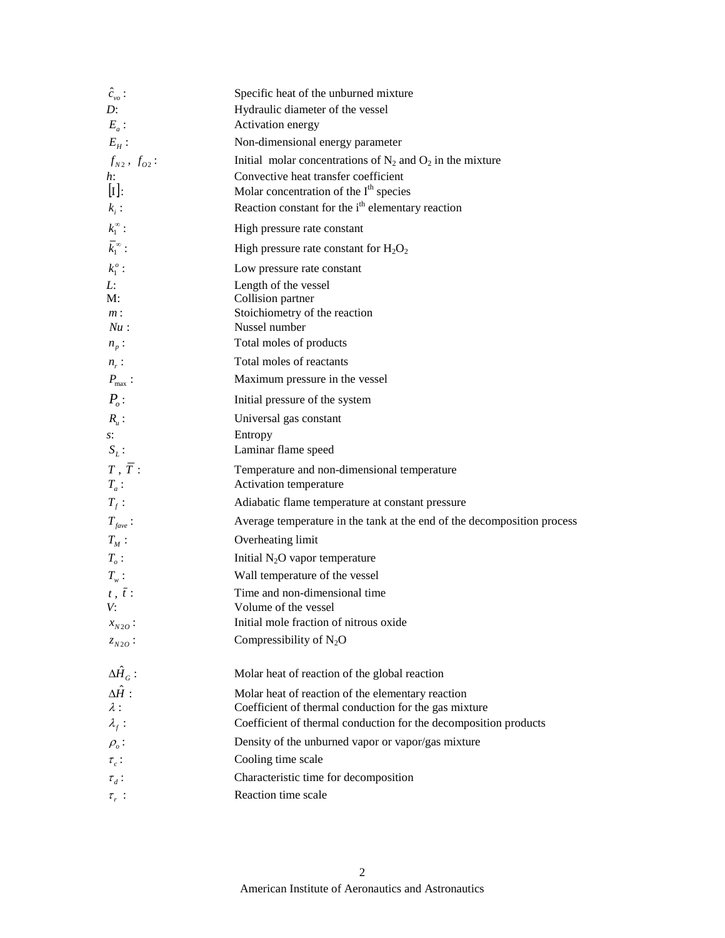| $\hat{c}_{\nu o}$ :                   | Specific heat of the unburned mixture                                   |
|---------------------------------------|-------------------------------------------------------------------------|
| D:                                    | Hydraulic diameter of the vessel                                        |
| $E_a$ :                               | Activation energy                                                       |
| $E_H$ :                               | Non-dimensional energy parameter                                        |
| $f_{N2}$ , $f_{O2}$ :                 | Initial molar concentrations of $N_2$ and $O_2$ in the mixture          |
| h:                                    | Convective heat transfer coefficient                                    |
| $[\mathbf{I}]:$                       | Molar concentration of the $Ith$ species                                |
| $k_i$ :                               | Reaction constant for the i <sup>th</sup> elementary reaction           |
| $k_1^\infty$ :                        | High pressure rate constant                                             |
| $\bar k_1^{\infty}$ :                 | High pressure rate constant for $H_2O_2$                                |
| $k_1^o$ :                             | Low pressure rate constant                                              |
| Ŀ.                                    | Length of the vessel                                                    |
| M:                                    | Collision partner<br>Stoichiometry of the reaction                      |
| $m$ :<br>Nu:                          | Nussel number                                                           |
| $n_p$ :                               | Total moles of products                                                 |
| $n_r$ :                               | Total moles of reactants                                                |
| $P_{\text{max}}$ :                    | Maximum pressure in the vessel                                          |
| $P_{o}$ :                             | Initial pressure of the system                                          |
| $R_u$ :                               | Universal gas constant                                                  |
| s:                                    | Entropy                                                                 |
| $S_L$ :                               | Laminar flame speed                                                     |
| $T$ , $\overline{T}$ :<br>$T_a$ :     | Temperature and non-dimensional temperature<br>Activation temperature   |
| $T_f$ :                               | Adiabatic flame temperature at constant pressure                        |
| $T_{\text{face}}$ :                   | Average temperature in the tank at the end of the decomposition process |
| $T_M$ :                               | Overheating limit                                                       |
| $T_o:$                                | Initial $N_2O$ vapor temperature                                        |
| $T_w$ :                               | Wall temperature of the vessel                                          |
| $t$ , $\bar{t}$ :                     | Time and non-dimensional time                                           |
| V:                                    | Volume of the vessel                                                    |
| $x_{N2O}$ :                           | Initial mole fraction of nitrous oxide                                  |
| $z_{N2O}$ :                           | Compressibility of $N_2O$                                               |
| $\Delta \hat{H}_G$ :                  | Molar heat of reaction of the global reaction                           |
| $\Delta \hat{H}$ :                    | Molar heat of reaction of the elementary reaction                       |
| $\lambda$ :                           | Coefficient of thermal conduction for the gas mixture                   |
| $\lambda_f$ :                         | Coefficient of thermal conduction for the decomposition products        |
| $\rho_{\scriptscriptstyle{\theta}}$ : | Density of the unburned vapor or vapor/gas mixture                      |
| $\tau_c$ :                            | Cooling time scale                                                      |
| $\tau_d$ :                            | Characteristic time for decomposition                                   |
| $\tau_r$ :                            | Reaction time scale                                                     |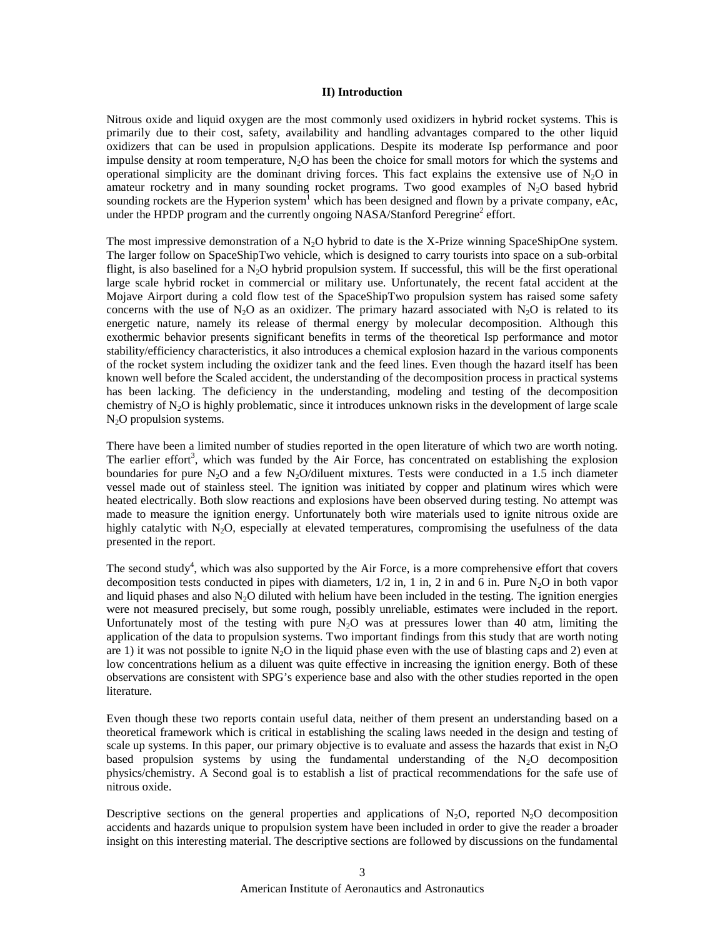#### **II) Introduction**

Nitrous oxide and liquid oxygen are the most commonly used oxidizers in hybrid rocket systems. This is primarily due to their cost, safety, availability and handling advantages compared to the other liquid oxidizers that can be used in propulsion applications. Despite its moderate Isp performance and poor impulse density at room temperature,  $N_2O$  has been the choice for small motors for which the systems and operational simplicity are the dominant driving forces. This fact explains the extensive use of  $N_2O$  in amateur rocketry and in many sounding rocket programs. Two good examples of  $N<sub>2</sub>O$  based hybrid sounding rockets are the Hyperion system<sup>1</sup> which has been designed and flown by a private company, eAc, under the HPDP program and the currently ongoing NASA/Stanford Peregrine<sup>2</sup> effort.

The most impressive demonstration of a  $N_2O$  hybrid to date is the X-Prize winning SpaceShipOne system. The larger follow on SpaceShipTwo vehicle, which is designed to carry tourists into space on a sub-orbital flight, is also baselined for a N<sub>2</sub>O hybrid propulsion system. If successful, this will be the first operational large scale hybrid rocket in commercial or military use. Unfortunately, the recent fatal accident at the Mojave Airport during a cold flow test of the SpaceShipTwo propulsion system has raised some safety concerns with the use of  $N_2O$  as an oxidizer. The primary hazard associated with  $N_2O$  is related to its energetic nature, namely its release of thermal energy by molecular decomposition. Although this exothermic behavior presents significant benefits in terms of the theoretical Isp performance and motor stability/efficiency characteristics, it also introduces a chemical explosion hazard in the various components of the rocket system including the oxidizer tank and the feed lines. Even though the hazard itself has been known well before the Scaled accident, the understanding of the decomposition process in practical systems has been lacking. The deficiency in the understanding, modeling and testing of the decomposition chemistry of  $N_2O$  is highly problematic, since it introduces unknown risks in the development of large scale  $N<sub>2</sub>O$  propulsion systems.

There have been a limited number of studies reported in the open literature of which two are worth noting. The earlier effort<sup>3</sup>, which was funded by the Air Force, has concentrated on establishing the explosion boundaries for pure  $N_2O$  and a few  $N_2O/d$ iluent mixtures. Tests were conducted in a 1.5 inch diameter vessel made out of stainless steel. The ignition was initiated by copper and platinum wires which were heated electrically. Both slow reactions and explosions have been observed during testing. No attempt was made to measure the ignition energy. Unfortunately both wire materials used to ignite nitrous oxide are highly catalytic with  $N_2O$ , especially at elevated temperatures, compromising the usefulness of the data presented in the report.

The second study<sup>4</sup>, which was also supported by the Air Force, is a more comprehensive effort that covers decomposition tests conducted in pipes with diameters,  $1/2$  in, 1 in, 2 in and 6 in. Pure N<sub>2</sub>O in both vapor and liquid phases and also  $N<sub>2</sub>O$  diluted with helium have been included in the testing. The ignition energies were not measured precisely, but some rough, possibly unreliable, estimates were included in the report. Unfortunately most of the testing with pure  $N_2O$  was at pressures lower than 40 atm, limiting the application of the data to propulsion systems. Two important findings from this study that are worth noting are 1) it was not possible to ignite  $N_2O$  in the liquid phase even with the use of blasting caps and 2) even at low concentrations helium as a diluent was quite effective in increasing the ignition energy. Both of these observations are consistent with SPG's experience base and also with the other studies reported in the open literature.

Even though these two reports contain useful data, neither of them present an understanding based on a theoretical framework which is critical in establishing the scaling laws needed in the design and testing of scale up systems. In this paper, our primary objective is to evaluate and assess the hazards that exist in  $N<sub>2</sub>O$ based propulsion systems by using the fundamental understanding of the  $N<sub>2</sub>O$  decomposition physics/chemistry. A Second goal is to establish a list of practical recommendations for the safe use of nitrous oxide.

Descriptive sections on the general properties and applications of  $N_2O$ , reported  $N_2O$  decomposition accidents and hazards unique to propulsion system have been included in order to give the reader a broader insight on this interesting material. The descriptive sections are followed by discussions on the fundamental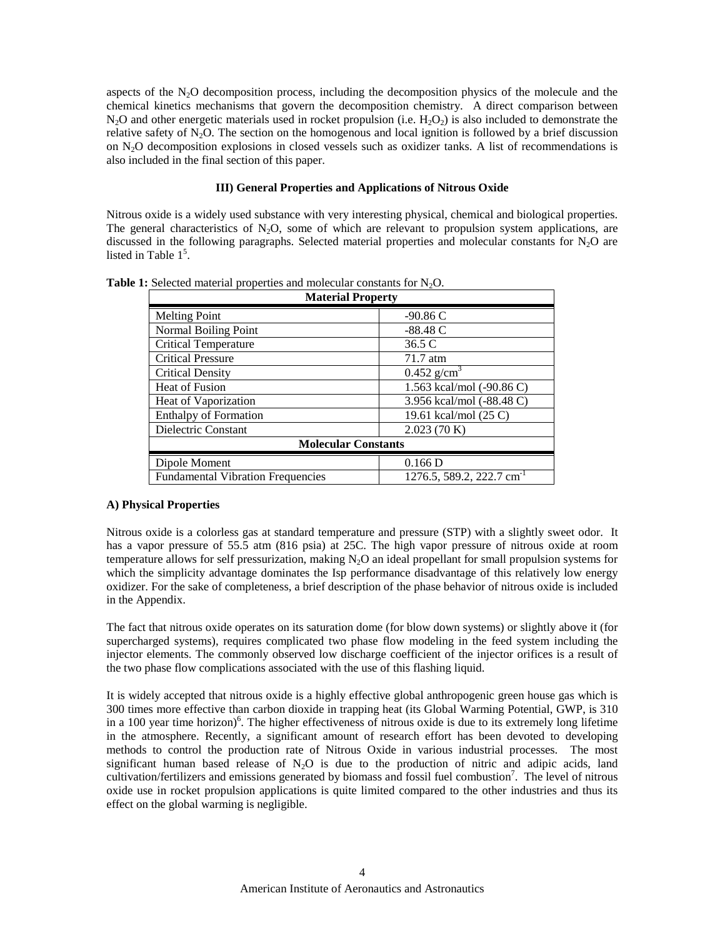aspects of the  $N_2O$  decomposition process, including the decomposition physics of the molecule and the chemical kinetics mechanisms that govern the decomposition chemistry. A direct comparison between  $N_2O$  and other energetic materials used in rocket propulsion (i.e.  $H_2O_2$ ) is also included to demonstrate the relative safety of  $N_2O$ . The section on the homogenous and local ignition is followed by a brief discussion on N2O decomposition explosions in closed vessels such as oxidizer tanks. A list of recommendations is also included in the final section of this paper.

# **III) General Properties and Applications of Nitrous Oxide**

Nitrous oxide is a widely used substance with very interesting physical, chemical and biological properties. The general characteristics of  $N_2O$ , some of which are relevant to propulsion system applications, are discussed in the following paragraphs. Selected material properties and molecular constants for  $N_2O$  are listed in Table  $1<sup>5</sup>$ .

| <b>Material Property</b>                 |                                         |  |  |  |
|------------------------------------------|-----------------------------------------|--|--|--|
| <b>Melting Point</b>                     | $-90.86C$                               |  |  |  |
| Normal Boiling Point                     | $-88.48C$                               |  |  |  |
| <b>Critical Temperature</b>              | 36.5 C                                  |  |  |  |
| <b>Critical Pressure</b>                 | 71.7 atm                                |  |  |  |
| <b>Critical Density</b>                  | $0.452$ g/cm <sup>3</sup>               |  |  |  |
| <b>Heat of Fusion</b>                    | 1.563 kcal/mol (-90.86 C)               |  |  |  |
| Heat of Vaporization                     | 3.956 kcal/mol (-88.48 C)               |  |  |  |
| <b>Enthalpy of Formation</b>             | 19.61 kcal/mol (25 C)                   |  |  |  |
| Dielectric Constant                      | 2.023(70 K)                             |  |  |  |
| <b>Molecular Constants</b>               |                                         |  |  |  |
| Dipole Moment                            | 0.166D                                  |  |  |  |
| <b>Fundamental Vibration Frequencies</b> | $1276.5, 589.2, 222.7$ cm <sup>-1</sup> |  |  |  |

**Table 1:** Selected material properties and molecular constants for N<sub>2</sub>O.

# **A) Physical Properties**

Nitrous oxide is a colorless gas at standard temperature and pressure (STP) with a slightly sweet odor. It has a vapor pressure of 55.5 atm (816 psia) at 25C. The high vapor pressure of nitrous oxide at room temperature allows for self pressurization, making N<sub>2</sub>O an ideal propellant for small propulsion systems for which the simplicity advantage dominates the Isp performance disadvantage of this relatively low energy oxidizer. For the sake of completeness, a brief description of the phase behavior of nitrous oxide is included in the Appendix.

The fact that nitrous oxide operates on its saturation dome (for blow down systems) or slightly above it (for supercharged systems), requires complicated two phase flow modeling in the feed system including the injector elements. The commonly observed low discharge coefficient of the injector orifices is a result of the two phase flow complications associated with the use of this flashing liquid.

It is widely accepted that nitrous oxide is a highly effective global anthropogenic green house gas which is 300 times more effective than carbon dioxide in trapping heat (its Global Warming Potential, GWP, is 310 in a 100 year time horizon) 6 . The higher effectiveness of nitrous oxide is due to its extremely long lifetime in the atmosphere. Recently, a significant amount of research effort has been devoted to developing methods to control the production rate of Nitrous Oxide in various industrial processes. The most significant human based release of  $N_2O$  is due to the production of nitric and adipic acids, land cultivation/fertilizers and emissions generated by biomass and fossil fuel combustion<sup>7</sup>. The level of nitrous oxide use in rocket propulsion applications is quite limited compared to the other industries and thus its effect on the global warming is negligible.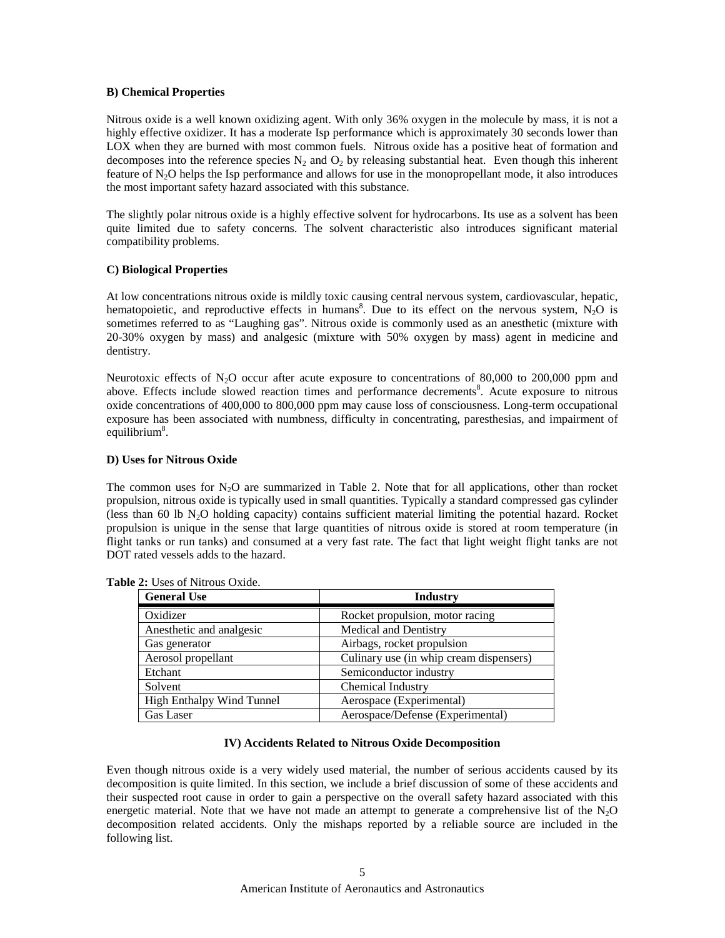## **B) Chemical Properties**

Nitrous oxide is a well known oxidizing agent. With only 36% oxygen in the molecule by mass, it is not a highly effective oxidizer. It has a moderate Isp performance which is approximately 30 seconds lower than LOX when they are burned with most common fuels. Nitrous oxide has a positive heat of formation and decomposes into the reference species  $N_2$  and  $O_2$  by releasing substantial heat. Even though this inherent feature of N<sub>2</sub>O helps the Isp performance and allows for use in the monopropellant mode, it also introduces the most important safety hazard associated with this substance.

The slightly polar nitrous oxide is a highly effective solvent for hydrocarbons. Its use as a solvent has been quite limited due to safety concerns. The solvent characteristic also introduces significant material compatibility problems.

# **C) Biological Properties**

At low concentrations nitrous oxide is mildly toxic causing central nervous system, cardiovascular, hepatic, hematopoietic, and reproductive effects in humans<sup>8</sup>. Due to its effect on the nervous system,  $N_2O$  is sometimes referred to as "Laughing gas". Nitrous oxide is commonly used as an anesthetic (mixture with 20-30% oxygen by mass) and analgesic (mixture with 50% oxygen by mass) agent in medicine and dentistry.

Neurotoxic effects of  $N_2O$  occur after acute exposure to concentrations of 80,000 to 200,000 ppm and above. Effects include slowed reaction times and performance decrements<sup>8</sup>. Acute exposure to nitrous oxide concentrations of 400,000 to 800,000 ppm may cause loss of consciousness. Long-term occupational exposure has been associated with numbness, difficulty in concentrating, paresthesias, and impairment of equilibrium<sup>8</sup>.

# **D) Uses for Nitrous Oxide**

The common uses for  $N_2O$  are summarized in Table 2. Note that for all applications, other than rocket propulsion, nitrous oxide is typically used in small quantities. Typically a standard compressed gas cylinder (less than 60 lb  $N_2O$  holding capacity) contains sufficient material limiting the potential hazard. Rocket propulsion is unique in the sense that large quantities of nitrous oxide is stored at room temperature (in flight tanks or run tanks) and consumed at a very fast rate. The fact that light weight flight tanks are not DOT rated vessels adds to the hazard.

| <b>General Use</b>                                    | <b>Industry</b>                         |  |  |
|-------------------------------------------------------|-----------------------------------------|--|--|
| Oxidizer                                              | Rocket propulsion, motor racing         |  |  |
| Anesthetic and analgesic                              | <b>Medical and Dentistry</b>            |  |  |
| Gas generator                                         | Airbags, rocket propulsion              |  |  |
| Aerosol propellant                                    | Culinary use (in whip cream dispensers) |  |  |
| Etchant                                               | Semiconductor industry                  |  |  |
| Solvent                                               | <b>Chemical Industry</b>                |  |  |
| High Enthalpy Wind Tunnel<br>Aerospace (Experimental) |                                         |  |  |
| <b>Gas Laser</b>                                      | Aerospace/Defense (Experimental)        |  |  |

**Table 2:** Uses of Nitrous Oxide.

## **IV) Accidents Related to Nitrous Oxide Decomposition**

Even though nitrous oxide is a very widely used material, the number of serious accidents caused by its decomposition is quite limited. In this section, we include a brief discussion of some of these accidents and their suspected root cause in order to gain a perspective on the overall safety hazard associated with this energetic material. Note that we have not made an attempt to generate a comprehensive list of the  $N_2O$ decomposition related accidents. Only the mishaps reported by a reliable source are included in the following list.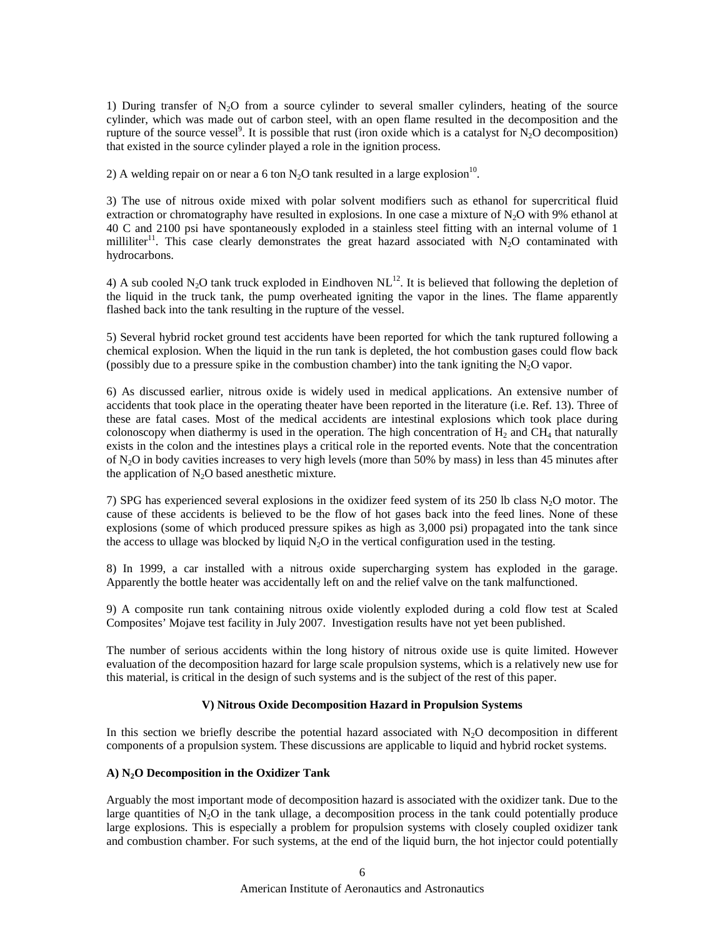1) During transfer of N2O from a source cylinder to several smaller cylinders, heating of the source cylinder, which was made out of carbon steel, with an open flame resulted in the decomposition and the rupture of the source vessel<sup>9</sup>. It is possible that rust (iron oxide which is a catalyst for  $N_2O$  decomposition) that existed in the source cylinder played a role in the ignition process.

2) A welding repair on or near a 6 ton N<sub>2</sub>O tank resulted in a large explosion<sup>10</sup>.

3) The use of nitrous oxide mixed with polar solvent modifiers such as ethanol for supercritical fluid extraction or chromatography have resulted in explosions. In one case a mixture of  $N_2O$  with 9% ethanol at 40 C and 2100 psi have spontaneously exploded in a stainless steel fitting with an internal volume of 1 milliliter<sup>11</sup>. This case clearly demonstrates the great hazard associated with N<sub>2</sub>O contaminated with hydrocarbons.

4) A sub cooled N<sub>2</sub>O tank truck exploded in Eindhoven NL<sup>12</sup>. It is believed that following the depletion of the liquid in the truck tank, the pump overheated igniting the vapor in the lines. The flame apparently flashed back into the tank resulting in the rupture of the vessel.

5) Several hybrid rocket ground test accidents have been reported for which the tank ruptured following a chemical explosion. When the liquid in the run tank is depleted, the hot combustion gases could flow back (possibly due to a pressure spike in the combustion chamber) into the tank igniting the  $N<sub>2</sub>O$  vapor.

6) As discussed earlier, nitrous oxide is widely used in medical applications. An extensive number of accidents that took place in the operating theater have been reported in the literature (i.e. Ref. 13). Three of these are fatal cases. Most of the medical accidents are intestinal explosions which took place during colonoscopy when diathermy is used in the operation. The high concentration of  $H_2$  and CH<sub>4</sub> that naturally exists in the colon and the intestines plays a critical role in the reported events. Note that the concentration of N2O in body cavities increases to very high levels (more than 50% by mass) in less than 45 minutes after the application of  $N_2O$  based anesthetic mixture.

7) SPG has experienced several explosions in the oxidizer feed system of its 250 lb class  $N<sub>2</sub>O$  motor. The cause of these accidents is believed to be the flow of hot gases back into the feed lines. None of these explosions (some of which produced pressure spikes as high as 3,000 psi) propagated into the tank since the access to ullage was blocked by liquid  $N_2O$  in the vertical configuration used in the testing.

8) In 1999, a car installed with a nitrous oxide supercharging system has exploded in the garage. Apparently the bottle heater was accidentally left on and the relief valve on the tank malfunctioned.

9) A composite run tank containing nitrous oxide violently exploded during a cold flow test at Scaled Composites' Mojave test facility in July 2007. Investigation results have not yet been published.

The number of serious accidents within the long history of nitrous oxide use is quite limited. However evaluation of the decomposition hazard for large scale propulsion systems, which is a relatively new use for this material, is critical in the design of such systems and is the subject of the rest of this paper.

## **V) Nitrous Oxide Decomposition Hazard in Propulsion Systems**

In this section we briefly describe the potential hazard associated with  $N_2O$  decomposition in different components of a propulsion system. These discussions are applicable to liquid and hybrid rocket systems.

## **A) N2O Decomposition in the Oxidizer Tank**

Arguably the most important mode of decomposition hazard is associated with the oxidizer tank. Due to the large quantities of  $N_2O$  in the tank ullage, a decomposition process in the tank could potentially produce large explosions. This is especially a problem for propulsion systems with closely coupled oxidizer tank and combustion chamber. For such systems, at the end of the liquid burn, the hot injector could potentially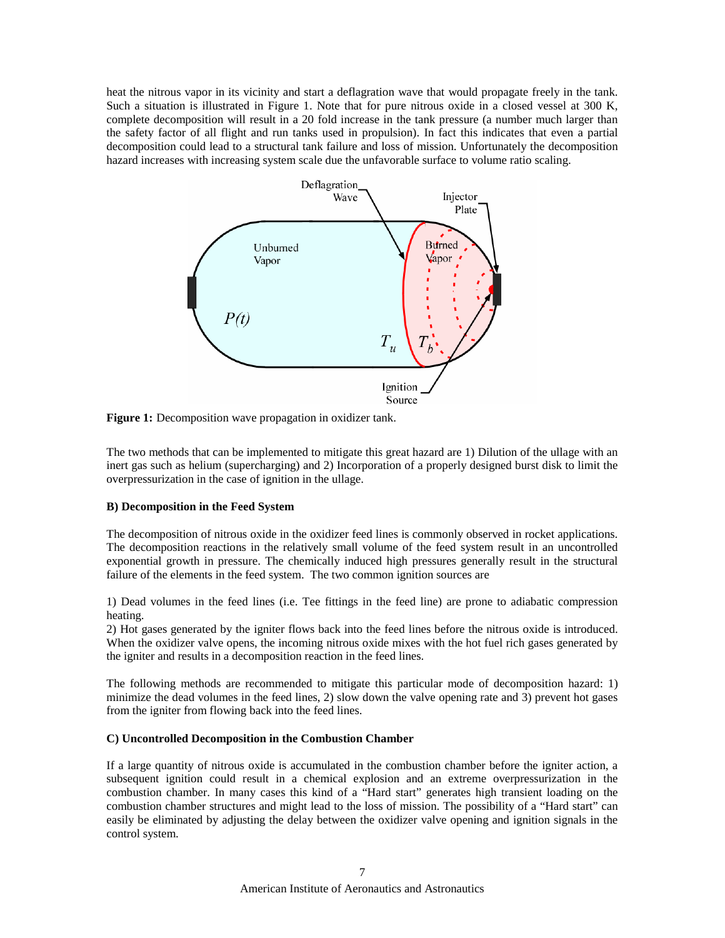heat the nitrous vapor in its vicinity and start a deflagration wave that would propagate freely in the tank. Such a situation is illustrated in Figure 1. Note that for pure nitrous oxide in a closed vessel at 300 K, complete decomposition will result in a 20 fold increase in the tank pressure (a number much larger than the safety factor of all flight and run tanks used in propulsion). In fact this indicates that even a partial decomposition could lead to a structural tank failure and loss of mission. Unfortunately the decomposition hazard increases with increasing system scale due the unfavorable surface to volume ratio scaling.



**Figure 1:** Decomposition wave propagation in oxidizer tank.

The two methods that can be implemented to mitigate this great hazard are 1) Dilution of the ullage with an inert gas such as helium (supercharging) and 2) Incorporation of a properly designed burst disk to limit the overpressurization in the case of ignition in the ullage.

## **B) Decomposition in the Feed System**

The decomposition of nitrous oxide in the oxidizer feed lines is commonly observed in rocket applications. The decomposition reactions in the relatively small volume of the feed system result in an uncontrolled exponential growth in pressure. The chemically induced high pressures generally result in the structural failure of the elements in the feed system. The two common ignition sources are

1) Dead volumes in the feed lines (i.e. Tee fittings in the feed line) are prone to adiabatic compression heating.

2) Hot gases generated by the igniter flows back into the feed lines before the nitrous oxide is introduced. When the oxidizer valve opens, the incoming nitrous oxide mixes with the hot fuel rich gases generated by the igniter and results in a decomposition reaction in the feed lines.

The following methods are recommended to mitigate this particular mode of decomposition hazard: 1) minimize the dead volumes in the feed lines, 2) slow down the valve opening rate and 3) prevent hot gases from the igniter from flowing back into the feed lines.

## **C) Uncontrolled Decomposition in the Combustion Chamber**

If a large quantity of nitrous oxide is accumulated in the combustion chamber before the igniter action, a subsequent ignition could result in a chemical explosion and an extreme overpressurization in the combustion chamber. In many cases this kind of a "Hard start" generates high transient loading on the combustion chamber structures and might lead to the loss of mission. The possibility of a "Hard start" can easily be eliminated by adjusting the delay between the oxidizer valve opening and ignition signals in the control system.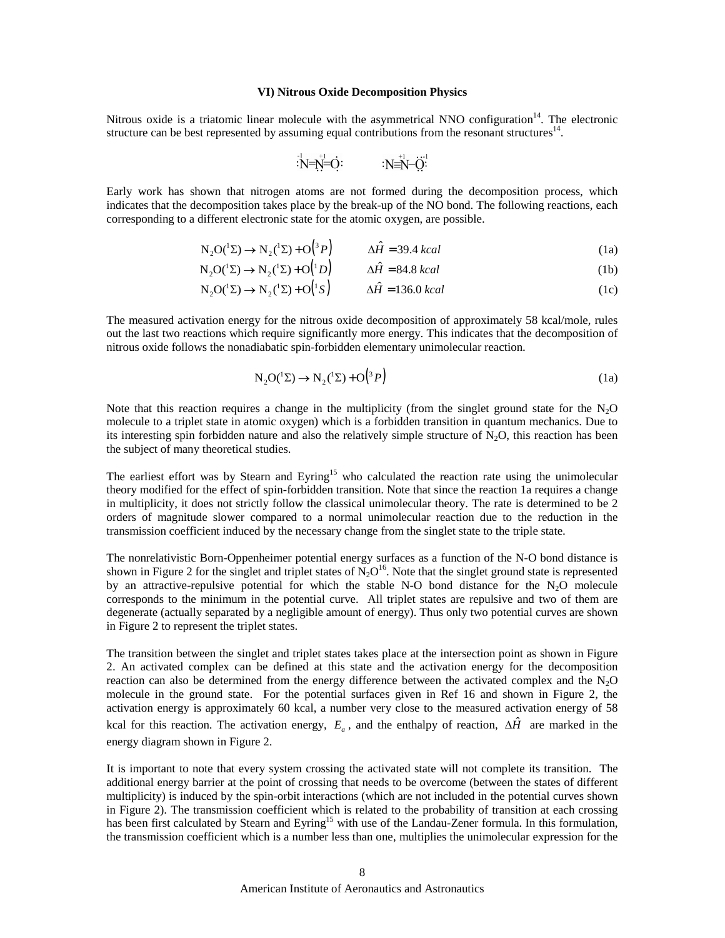## **VI) Nitrous Oxide Decomposition Physics**

Nitrous oxide is a triatomic linear molecule with the asymmetrical NNO configuration<sup>14</sup>. The electronic structure can be best represented by assuming equal contributions from the resonant structures<sup>14</sup>.

$$
N = N = O
$$
  
 
$$
N = N - O
$$
  
 
$$
N = N - O
$$

Early work has shown that nitrogen atoms are not formed during the decomposition process, which indicates that the decomposition takes place by the break-up of the NO bond. The following reactions, each corresponding to a different electronic state for the atomic oxygen, are possible.

$$
N_2O(^{1}\Sigma) \to N_2(^{1}\Sigma) + O(^{3}P) \qquad \Delta \hat{H} = 39.4 \; kcal \tag{1a}
$$

$$
N_2O(^{1}\Sigma) \to N_2(^{1}\Sigma) + O(^{1}D) \qquad \Delta \hat{H} = 84.8 \; kcal \tag{1b}
$$

$$
N_2O(^{1}\Sigma) \to N_2(^{1}\Sigma) + O(^{1}S) \qquad \Delta \hat{H} = 136.0 \text{ kcal}
$$
 (1c)

The measured activation energy for the nitrous oxide decomposition of approximately 58 kcal/mole, rules out the last two reactions which require significantly more energy. This indicates that the decomposition of nitrous oxide follows the nonadiabatic spin-forbidden elementary unimolecular reaction.

$$
N_2O(^{1}\Sigma) \to N_2(^{1}\Sigma) + O(^{3}P)
$$
\n(1a)

Note that this reaction requires a change in the multiplicity (from the singlet ground state for the  $N_2O$ molecule to a triplet state in atomic oxygen) which is a forbidden transition in quantum mechanics. Due to its interesting spin forbidden nature and also the relatively simple structure of  $N_2O$ , this reaction has been the subject of many theoretical studies.

The earliest effort was by Stearn and Eyring<sup>15</sup> who calculated the reaction rate using the unimolecular theory modified for the effect of spin-forbidden transition. Note that since the reaction 1a requires a change in multiplicity, it does not strictly follow the classical unimolecular theory. The rate is determined to be 2 orders of magnitude slower compared to a normal unimolecular reaction due to the reduction in the transmission coefficient induced by the necessary change from the singlet state to the triple state.

The nonrelativistic Born-Oppenheimer potential energy surfaces as a function of the N-O bond distance is shown in Figure 2 for the singlet and triplet states of  $N_2O^{16}$ . Note that the singlet ground state is represented by an attractive-repulsive potential for which the stable N-O bond distance for the  $N_2O$  molecule corresponds to the minimum in the potential curve. All triplet states are repulsive and two of them are degenerate (actually separated by a negligible amount of energy). Thus only two potential curves are shown in Figure 2 to represent the triplet states.

The transition between the singlet and triplet states takes place at the intersection point as shown in Figure 2. An activated complex can be defined at this state and the activation energy for the decomposition reaction can also be determined from the energy difference between the activated complex and the  $N<sub>2</sub>O$ molecule in the ground state. For the potential surfaces given in Ref 16 and shown in Figure 2, the activation energy is approximately 60 kcal, a number very close to the measured activation energy of 58 kcal for this reaction. The activation energy,  $E_a$ , and the enthalpy of reaction,  $\Delta \hat{H}$  are marked in the energy diagram shown in Figure 2.

It is important to note that every system crossing the activated state will not complete its transition. The additional energy barrier at the point of crossing that needs to be overcome (between the states of different multiplicity) is induced by the spin-orbit interactions (which are not included in the potential curves shown in Figure 2). The transmission coefficient which is related to the probability of transition at each crossing has been first calculated by Stearn and Eyring<sup>15</sup> with use of the Landau-Zener formula. In this formulation, the transmission coefficient which is a number less than one, multiplies the unimolecular expression for the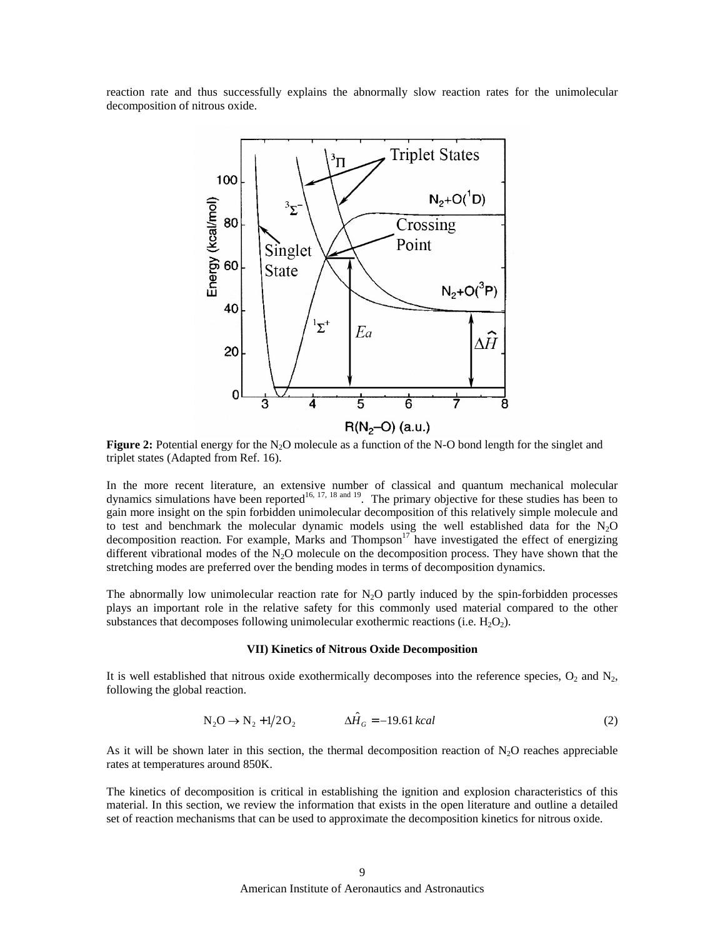reaction rate and thus successfully explains the abnormally slow reaction rates for the unimolecular decomposition of nitrous oxide.



**Figure 2:** Potential energy for the  $N_2O$  molecule as a function of the N-O bond length for the singlet and triplet states (Adapted from Ref. 16).

In the more recent literature, an extensive number of classical and quantum mechanical molecular dynamics simulations have been reported<sup>16, 17, 18 and 19</sup>. The primary objective for these studies has been to gain more insight on the spin forbidden unimolecular decomposition of this relatively simple molecule and to test and benchmark the molecular dynamic models using the well established data for the  $N_2O$ decomposition reaction. For example, Marks and Thompson<sup>17</sup> have investigated the effect of energizing different vibrational modes of the  $N_2O$  molecule on the decomposition process. They have shown that the stretching modes are preferred over the bending modes in terms of decomposition dynamics.

The abnormally low unimolecular reaction rate for  $N<sub>2</sub>O$  partly induced by the spin-forbidden processes plays an important role in the relative safety for this commonly used material compared to the other substances that decomposes following unimolecular exothermic reactions (i.e.  $H_2O_2$ ).

#### **VII) Kinetics of Nitrous Oxide Decomposition**

It is well established that nitrous oxide exothermically decomposes into the reference species,  $O_2$  and  $N_2$ , following the global reaction.

$$
N_2O \to N_2 + 1/2O_2 \qquad \qquad \Delta \hat{H}_G = -19.61 \, kcal \tag{2}
$$

As it will be shown later in this section, the thermal decomposition reaction of  $N<sub>2</sub>O$  reaches appreciable rates at temperatures around 850K.

The kinetics of decomposition is critical in establishing the ignition and explosion characteristics of this material. In this section, we review the information that exists in the open literature and outline a detailed set of reaction mechanisms that can be used to approximate the decomposition kinetics for nitrous oxide.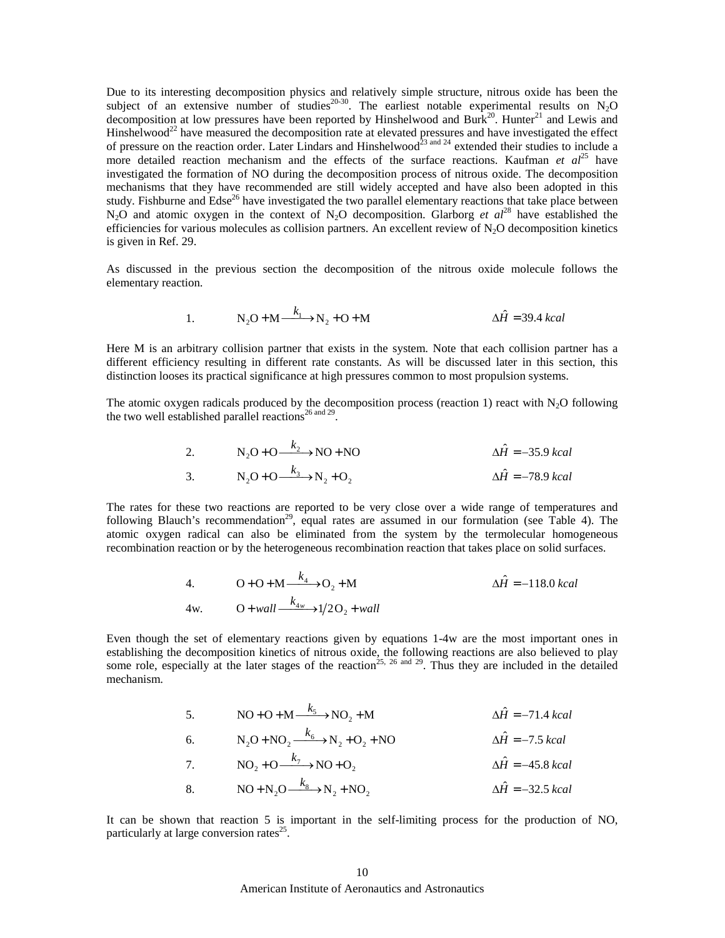Due to its interesting decomposition physics and relatively simple structure, nitrous oxide has been the subject of an extensive number of studies<sup>20-30</sup>. The earliest notable experimental results on  $N_2O$ decomposition at low pressures have been reported by Hinshelwood and Burk<sup>20</sup>. Hunter<sup>21</sup> and Lewis and Hinshelwood<sup>22</sup> have measured the decomposition rate at elevated pressures and have investigated the effect of pressure on the reaction order. Later Lindars and Hinshelwood<sup>23 and 24</sup> extended their studies to include a more detailed reaction mechanism and the effects of the surface reactions. Kaufman *et al*<sup>25</sup> have investigated the formation of NO during the decomposition process of nitrous oxide. The decomposition mechanisms that they have recommended are still widely accepted and have also been adopted in this study. Fishburne and Edse<sup>26</sup> have investigated the two parallel elementary reactions that take place between N<sub>2</sub>O and atomic oxygen in the context of N<sub>2</sub>O decomposition. Glarborg *et*  $al^{28}$  have established the efficiencies for various molecules as collision partners. An excellent review of  $N<sub>2</sub>O$  decomposition kinetics is given in Ref. 29.

As discussed in the previous section the decomposition of the nitrous oxide molecule follows the elementary reaction.

1. 
$$
N_2O + M \xrightarrow{k_1} N_2 + O + M
$$
  $\Delta \hat{H} = 39.4 \text{ kcal}$ 

Here M is an arbitrary collision partner that exists in the system. Note that each collision partner has a different efficiency resulting in different rate constants. As will be discussed later in this section, this distinction looses its practical significance at high pressures common to most propulsion systems.

The atomic oxygen radicals produced by the decomposition process (reaction 1) react with  $N_2O$  following the two well established parallel reactions<sup>26 and 29</sup>.

2. 
$$
N_2O + O \xrightarrow{k_2} NO + NO
$$
  
\n3.  $N_2O + O \xrightarrow{k_3} N_2 + O_2$   
\n $\Delta \hat{H} = -78.9 \text{ kcal}$   
\n $\Delta \hat{H} = -78.9 \text{ kcal}$ 

The rates for these two reactions are reported to be very close over a wide range of temperatures and following Blauch's recommendation<sup>29</sup>, equal rates are assumed in our formulation (see Table 4). The atomic oxygen radical can also be eliminated from the system by the termolecular homogeneous recombination reaction or by the heterogeneous recombination reaction that takes place on solid surfaces.

4. 
$$
O + O + M \xrightarrow{k_4} O_2 + M
$$

$$
\Delta \hat{H} = -118.0 \text{ kcal}
$$
  
4w. 
$$
O + wall \xrightarrow{k_{4w}} 1/2O_2 + wall
$$

Even though the set of elementary reactions given by equations 1-4w are the most important ones in establishing the decomposition kinetics of nitrous oxide, the following reactions are also believed to play some role, especially at the later stages of the reaction<sup>25, 26 and 29</sup>. Thus they are included in the detailed mechanism.

5. 
$$
NO + O + M \xrightarrow{k_5} NO_2 + M
$$
  
\n6.  $N_2O + NO_2 \xrightarrow{k_6} N_2 + O_2 + NO$   
\n7.  $NO_2 + O \xrightarrow{k_7} NO + O_2$   
\n8.  $NO + N_2O \xrightarrow{k_8} N_2 + NO_2$   
\n9.  $\Delta \hat{H} = -3.8 \text{ kcal}$   
\n10.  $\Delta \hat{H} = -32.5 \text{ kcal}$   
\n11.  $\Delta \hat{H} = -32.5 \text{ kcal}$ 

It can be shown that reaction 5 is important in the self-limiting process for the production of NO, particularly at large conversion rates<sup>25</sup>.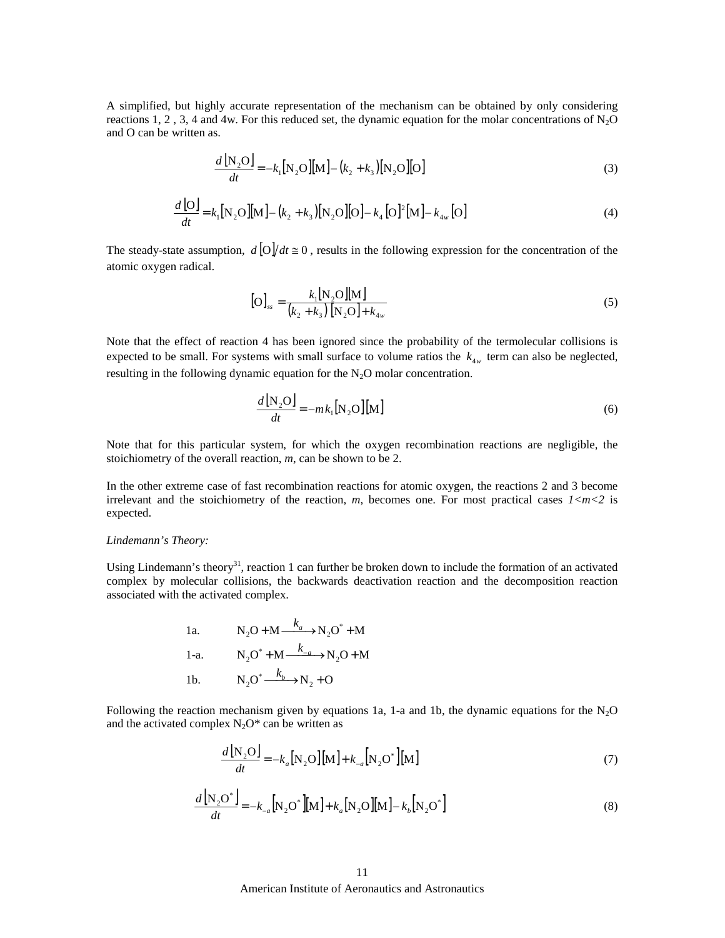A simplified, but highly accurate representation of the mechanism can be obtained by only considering reactions 1, 2, 3, 4 and 4w. For this reduced set, the dynamic equation for the molar concentrations of  $N_2O$ and O can be written as.

$$
\frac{d\left[\mathbf{N}_{2}\mathbf{O}\right]}{dt} = -k_{1}\left[\mathbf{N}_{2}\mathbf{O}\right]\left[\mathbf{M}\right] - \left(k_{2} + k_{3}\right)\left[\mathbf{N}_{2}\mathbf{O}\right]\left[\mathbf{O}\right]
$$
\n(3)

$$
\frac{d\left[O\right]}{dt} = k_1 \left[N_2 O\right] \left[M_2 - \left(k_2 + k_3\right) \left[N_2 O\right] \left[O_2\right] - k_4 \left[O_2\right]^2 \left[M_2\right] - k_{4w} \left[O_2\right] \tag{4}
$$

The steady-state assumption,  $d\left[\frac{O}{dt}\right] = 0$ , results in the following expression for the concentration of the atomic oxygen radical.

$$
[O]_{ss} = \frac{k_1 [N_2 O][M]}{(k_2 + k_3) [N_2 O] + k_{4w}}
$$
 (5)

Note that the effect of reaction 4 has been ignored since the probability of the termolecular collisions is expected to be small. For systems with small surface to volume ratios the  $k_{4w}$  term can also be neglected, resulting in the following dynamic equation for the  $N_2O$  molar concentration.

$$
\frac{d\left[\mathbf{N}_2\mathbf{O}\right]}{dt} = -mk_1\left[\mathbf{N}_2\mathbf{O}\right]\left[\mathbf{M}\right]
$$
\n(6)

Note that for this particular system, for which the oxygen recombination reactions are negligible, the stoichiometry of the overall reaction, *m*, can be shown to be 2.

In the other extreme case of fast recombination reactions for atomic oxygen, the reactions 2 and 3 become irrelevant and the stoichiometry of the reaction,  $m$ , becomes one. For most practical cases  $1 < m < 2$  is expected.

#### *Lindemann's Theory:*

Using Lindemann's theory<sup>31</sup>, reaction 1 can further be broken down to include the formation of an activated complex by molecular collisions, the backwards deactivation reaction and the decomposition reaction associated with the activated complex.

1a. 
$$
N_2O + M \xrightarrow{k_a} N_2O^* + M
$$
  
1-a. 
$$
N_2O^* + M \xrightarrow{k_{-a}} N_2O + M
$$
  
1b. 
$$
N_2O^* \xrightarrow{k_b} N_2 + O
$$

Following the reaction mechanism given by equations 1a, 1-a and 1b, the dynamic equations for the  $N_2O$ and the activated complex  $N_2O^*$  can be written as

$$
\frac{d\left[\mathbf{N}_2\mathbf{O}\right]}{dt} = -k_a\left[\mathbf{N}_2\mathbf{O}\right]\left[\mathbf{M}\right] + k_{-a}\left[\mathbf{N}_2\mathbf{O}^*\right]\left[\mathbf{M}\right] \tag{7}
$$

$$
\frac{d\left[\mathbf{N}_2\mathbf{O}^*\right]}{dt} = -k_{-a}\left[\mathbf{N}_2\mathbf{O}^*\right]\left[\mathbf{M}\right] + k_a\left[\mathbf{N}_2\mathbf{O}\right]\left[\mathbf{M}\right] - k_b\left[\mathbf{N}_2\mathbf{O}^*\right]
$$
\n(8)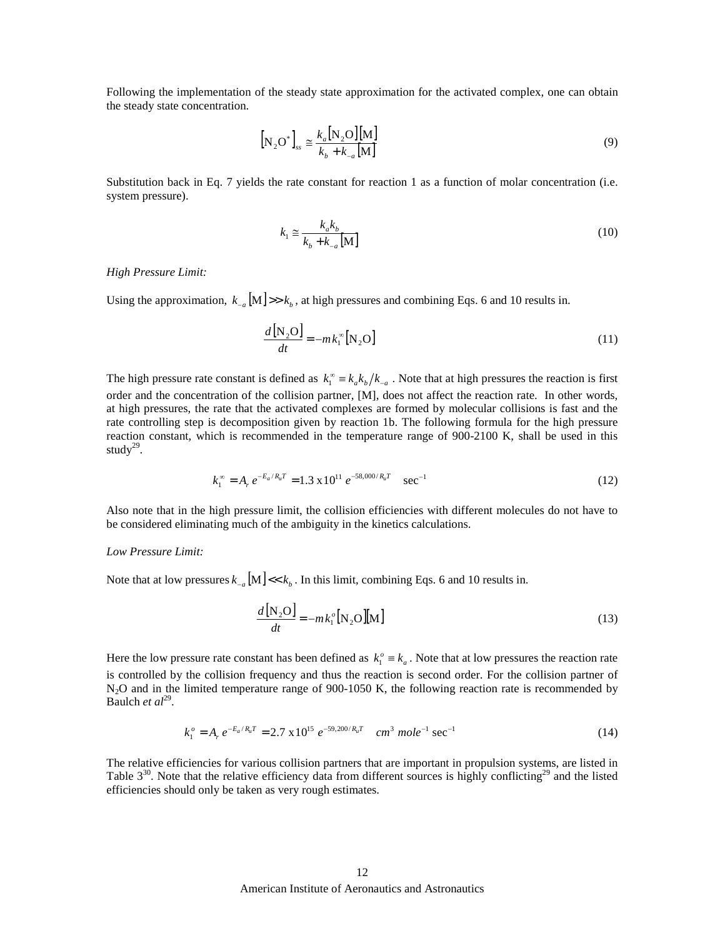Following the implementation of the steady state approximation for the activated complex, one can obtain the steady state concentration.

$$
\left[\mathbf{N}_2\mathbf{O}^*\right]_{ss} \cong \frac{k_a \left[\mathbf{N}_2\mathbf{O}\right]\left[\mathbf{M}\right]}{k_b + k_{-a}\left[\mathbf{M}\right]}
$$
\n(9)

Substitution back in Eq. 7 yields the rate constant for reaction 1 as a function of molar concentration (i.e. system pressure).

$$
k_1 \cong \frac{k_a k_b}{k_b + k_{-a} \text{[M]}}
$$
\n<sup>(10)</sup>

#### *High Pressure Limit:*

Using the approximation,  $k_{-a}$  [M] >> $k_b$ , at high pressures and combining Eqs. 6 and 10 results in.

$$
\frac{d\left[\mathbf{N}_2\mathbf{O}\right]}{dt} = -m k_1^{\infty} \left[\mathbf{N}_2\mathbf{O}\right]
$$
\n(11)

The high pressure rate constant is defined as  $k_1^{\infty} = k_a k_b / k_{-a}$ . Note that at high pressures the reaction is first order and the concentration of the collision partner, [M], does not affect the reaction rate. In other words, at high pressures, the rate that the activated complexes are formed by molecular collisions is fast and the rate controlling step is decomposition given by reaction 1b. The following formula for the high pressure reaction constant, which is recommended in the temperature range of 900-2100 K, shall be used in this study $^{29}$ .

$$
k_1^{\infty} = A_r e^{-E_a/R_u T} = 1.3 \times 10^{11} e^{-58,000/R_u T} \quad \text{sec}^{-1}
$$
 (12)

Also note that in the high pressure limit, the collision efficiencies with different molecules do not have to be considered eliminating much of the ambiguity in the kinetics calculations.

#### *Low Pressure Limit:*

Note that at low pressures  $k_{-a}$  [M] <<  $k_b$ . In this limit, combining Eqs. 6 and 10 results in.

$$
\frac{d\left[\mathbf{N}_2\mathbf{O}\right]}{dt} = -mk_1^o\left[\mathbf{N}_2\mathbf{O}\right]\left[\mathbf{M}\right] \tag{13}
$$

Here the low pressure rate constant has been defined as  $k_1^o \equiv k_a$ . Note that at low pressures the reaction rate is controlled by the collision frequency and thus the reaction is second order. For the collision partner of  $N_2O$  and in the limited temperature range of 900-1050 K, the following reaction rate is recommended by Baulch *et al*<sup>29</sup>.

$$
k_1^o = A_r e^{-E_a/R_u T} = 2.7 \times 10^{15} e^{-59,200/R_u T} \quad cm^3 \, mole^{-1} \, sec^{-1} \tag{14}
$$

The relative efficiencies for various collision partners that are important in propulsion systems, are listed in Table  $3^{30}$ . Note that the relative efficiency data from different sources is highly conflicting<sup>29</sup> and the listed efficiencies should only be taken as very rough estimates.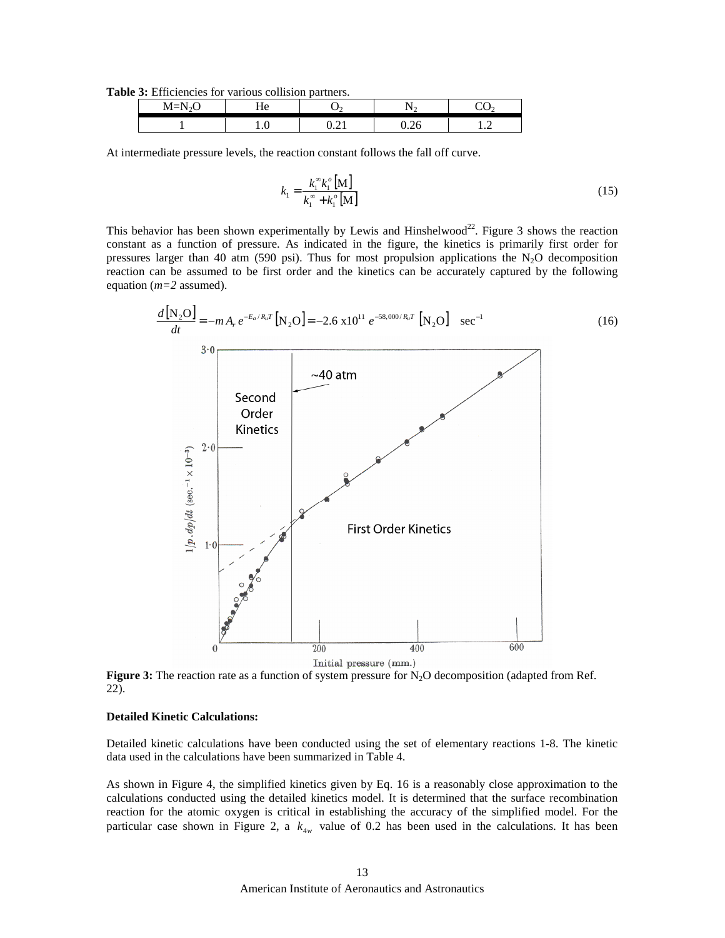**Table 3:** Efficiencies for various collision partners.

| $\sim$ $\sim$<br>$M = N$ | $\sim$<br>$\sim$ 10 |                |      |   |
|--------------------------|---------------------|----------------|------|---|
|                          | $\cdot$             | . . <i>.</i> . | ∪.∠∪ | . |

At intermediate pressure levels, the reaction constant follows the fall off curve.

$$
k_1 = \frac{k_1^{\infty} k_1^{\circ} \left[ \mathbf{M} \right]}{k_1^{\infty} + k_1^{\circ} \left[ \mathbf{M} \right]}
$$
(15)

This behavior has been shown experimentally by Lewis and Hinshelwood<sup>22</sup>. Figure 3 shows the reaction constant as a function of pressure. As indicated in the figure, the kinetics is primarily first order for pressures larger than 40 atm (590 psi). Thus for most propulsion applications the  $N_2O$  decomposition reaction can be assumed to be first order and the kinetics can be accurately captured by the following equation (*m=2* assumed).



**Figure 3:** The reaction rate as a function of system pressure for  $N_2O$  decomposition (adapted from Ref. 22).

## **Detailed Kinetic Calculations:**

Detailed kinetic calculations have been conducted using the set of elementary reactions 1-8. The kinetic data used in the calculations have been summarized in Table 4.

As shown in Figure 4, the simplified kinetics given by Eq. 16 is a reasonably close approximation to the calculations conducted using the detailed kinetics model. It is determined that the surface recombination reaction for the atomic oxygen is critical in establishing the accuracy of the simplified model. For the particular case shown in Figure 2, a  $k_{4w}$  value of 0.2 has been used in the calculations. It has been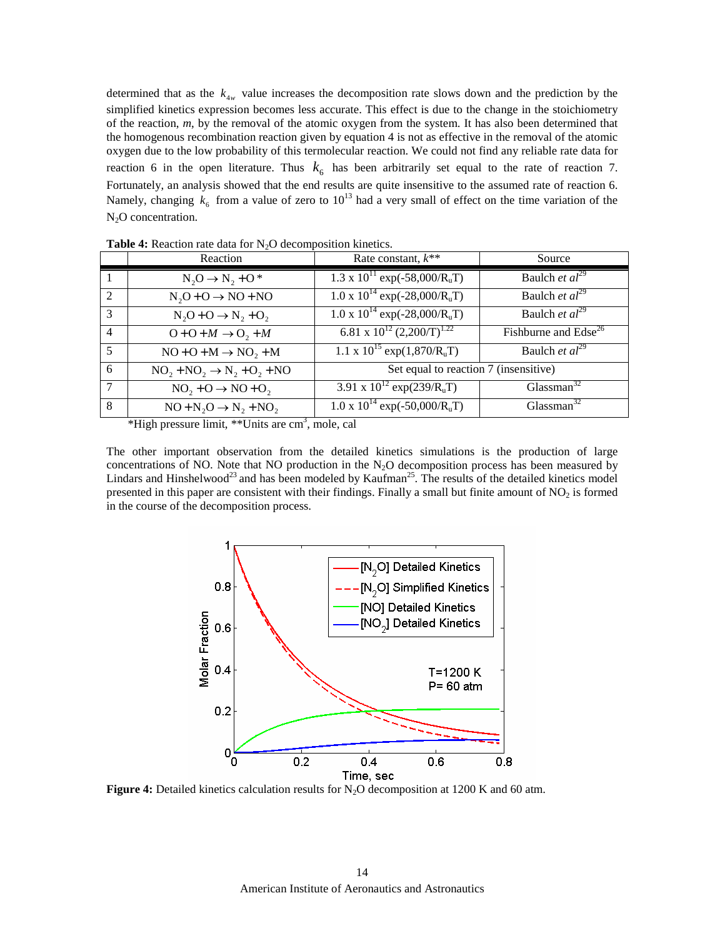determined that as the  $k_{4w}$  value increases the decomposition rate slows down and the prediction by the simplified kinetics expression becomes less accurate. This effect is due to the change in the stoichiometry of the reaction, *m*, by the removal of the atomic oxygen from the system. It has also been determined that the homogenous recombination reaction given by equation 4 is not as effective in the removal of the atomic oxygen due to the low probability of this termolecular reaction. We could not find any reliable rate data for reaction 6 in the open literature. Thus  $k<sub>6</sub>$  has been arbitrarily set equal to the rate of reaction 7. Fortunately, an analysis showed that the end results are quite insensitive to the assumed rate of reaction 6. Namely, changing  $k_6$  from a value of zero to 10<sup>13</sup> had a very small of effect on the time variation of the N<sub>2</sub>O concentration.

|                | Reaction                                 | Rate constant, $k^{**}$                            | Source                           |
|----------------|------------------------------------------|----------------------------------------------------|----------------------------------|
|                | $N_2O \rightarrow N_2 + O^*$             | $1.3 \times 10^{11}$ exp(-58,000/R <sub>u</sub> T) | Baulch et $al^{29}$              |
| $\mathcal{L}$  | $N_2O + O \rightarrow NO + NO$           | $1.0 \times 10^{14}$ exp(-28,000/R <sub>u</sub> T) | Baulch et $al^{29}$              |
| 3              | $N_2O + O \rightarrow N_2 + O_2$         | $1.0 \times 10^{14}$ exp(-28,000/R <sub>u</sub> T) | Baulch et $al^{29}$              |
| $\overline{4}$ | $O + O + M \rightarrow O_2 + M$          | 6.81 x $10^{12}$ (2,200/T) <sup>1.22</sup>         | Fishburne and Edse <sup>26</sup> |
| $\overline{5}$ | $NO + O + M \rightarrow NO, + M$         | 1.1 x $10^{15}$ exp $(1,870/R_uT)$                 | Baulch et $al^{29}$              |
| 6              | $NO_2 + NO_2 \rightarrow N_2 + O_2 + NO$ | Set equal to reaction 7 (insensitive)              |                                  |
|                | $NO_2 + O \rightarrow NO + O_2$          | 3.91 x $10^{12}$ exp(239/R <sub>u</sub> T)         | Glassman <sup>32</sup>           |
| 8              | $NO + N2O \rightarrow N2 + NO2$          | $1.0 \times 10^{14}$ exp(-50,000/R <sub>u</sub> T) | Glassman <sup>32</sup>           |

**Table 4:** Reaction rate data for N<sub>2</sub>O decomposition kinetics.

\*High pressure limit, \*\*Units are cm<sup>3</sup>, mole, cal

The other important observation from the detailed kinetics simulations is the production of large concentrations of NO. Note that NO production in the  $N_2O$  decomposition process has been measured by Lindars and Hinshelwood<sup>23</sup> and has been modeled by Kaufman<sup>25</sup>. The results of the detailed kinetics model presented in this paper are consistent with their findings. Finally a small but finite amount of  $NO<sub>2</sub>$  is formed in the course of the decomposition process.



**Figure 4:** Detailed kinetics calculation results for N<sub>2</sub>O decomposition at 1200 K and 60 atm.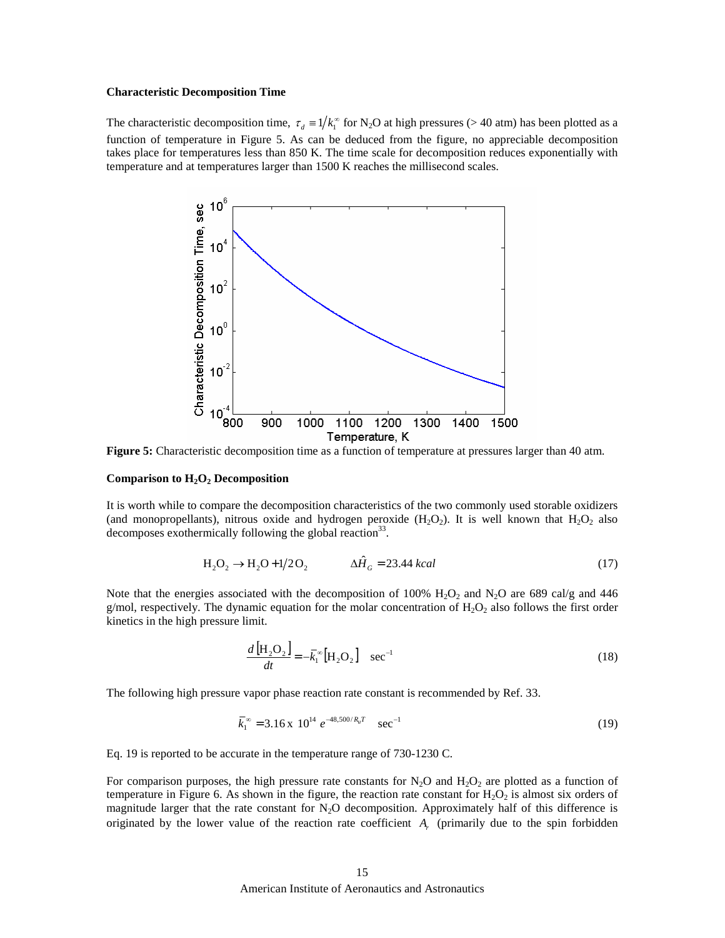#### **Characteristic Decomposition Time**

The characteristic decomposition time,  $\tau_d = 1/k_1^{\infty}$  for N<sub>2</sub>O at high pressures (> 40 atm) has been plotted as a function of temperature in Figure 5. As can be deduced from the figure, no appreciable decomposition takes place for temperatures less than 850 K. The time scale for decomposition reduces exponentially with temperature and at temperatures larger than 1500 K reaches the millisecond scales.



**Figure 5:** Characteristic decomposition time as a function of temperature at pressures larger than 40 atm.

## **Comparison to H2O2 Decomposition**

It is worth while to compare the decomposition characteristics of the two commonly used storable oxidizers (and monopropellants), nitrous oxide and hydrogen peroxide  $(H_2O_2)$ . It is well known that  $H_2O_2$  also decomposes exothermically following the global reaction<sup>33</sup>.

$$
H_2O_2 \to H_2O + 1/2O_2 \qquad \Delta \hat{H}_G = 23.44 \; kcal \tag{17}
$$

Note that the energies associated with the decomposition of 100%  $H_2O_2$  and N<sub>2</sub>O are 689 cal/g and 446 g/mol, respectively. The dynamic equation for the molar concentration of  $H_2O_2$  also follows the first order kinetics in the high pressure limit.

$$
\frac{d\left[\mathrm{H}_{2}\mathrm{O}_{2}\right]}{dt} = -\bar{k}_{1}^{\infty}\left[\mathrm{H}_{2}\mathrm{O}_{2}\right] \quad \mathrm{sec}^{-1}
$$
\n(18)

The following high pressure vapor phase reaction rate constant is recommended by Ref. 33.

$$
\overline{k}_1^{\infty} = 3.16 \times 10^{14} e^{-48,500/R_u T} \quad \text{sec}^{-1}
$$
 (19)

Eq. 19 is reported to be accurate in the temperature range of 730-1230 C.

For comparison purposes, the high pressure rate constants for  $N_2O$  and  $H_2O_2$  are plotted as a function of temperature in Figure 6. As shown in the figure, the reaction rate constant for  $H_2O_2$  is almost six orders of magnitude larger that the rate constant for  $N_2O$  decomposition. Approximately half of this difference is originated by the lower value of the reaction rate coefficient *Ar* (primarily due to the spin forbidden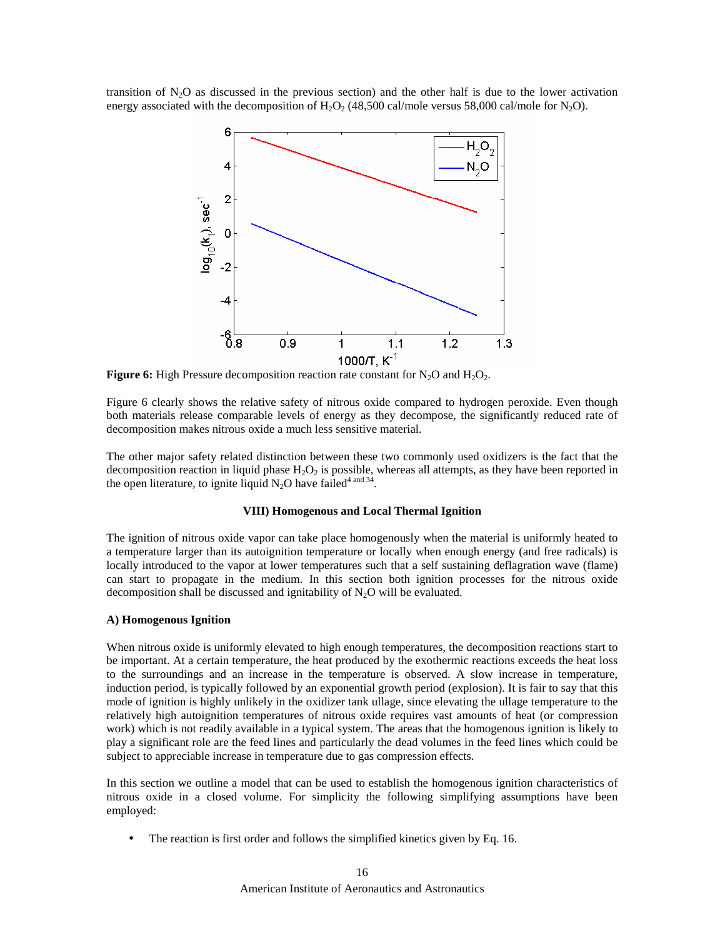transition of  $N_2O$  as discussed in the previous section) and the other half is due to the lower activation energy associated with the decomposition of  $H_2O_2$  (48,500 cal/mole versus 58,000 cal/mole for N<sub>2</sub>O).



**Figure 6:** High Pressure decomposition reaction rate constant for  $N_2O$  and  $H_2O_2$ .

Figure 6 clearly shows the relative safety of nitrous oxide compared to hydrogen peroxide. Even though both materials release comparable levels of energy as they decompose, the significantly reduced rate of decomposition makes nitrous oxide a much less sensitive material.

The other major safety related distinction between these two commonly used oxidizers is the fact that the decomposition reaction in liquid phase  $H_2O_2$  is possible, whereas all attempts, as they have been reported in the open literature, to ignite liquid  $N_2O$  have failed<sup>4 and 34</sup>.

## **VIII) Homogenous and Local Thermal Ignition**

The ignition of nitrous oxide vapor can take place homogenously when the material is uniformly heated to a temperature larger than its autoignition temperature or locally when enough energy (and free radicals) is locally introduced to the vapor at lower temperatures such that a self sustaining deflagration wave (flame) can start to propagate in the medium. In this section both ignition processes for the nitrous oxide decomposition shall be discussed and ignitability of  $N_2O$  will be evaluated.

#### **A) Homogenous Ignition**

When nitrous oxide is uniformly elevated to high enough temperatures, the decomposition reactions start to be important. At a certain temperature, the heat produced by the exothermic reactions exceeds the heat loss to the surroundings and an increase in the temperature is observed. A slow increase in temperature, induction period, is typically followed by an exponential growth period (explosion). It is fair to say that this mode of ignition is highly unlikely in the oxidizer tank ullage, since elevating the ullage temperature to the relatively high autoignition temperatures of nitrous oxide requires vast amounts of heat (or compression work) which is not readily available in a typical system. The areas that the homogenous ignition is likely to play a significant role are the feed lines and particularly the dead volumes in the feed lines which could be subject to appreciable increase in temperature due to gas compression effects.

In this section we outline a model that can be used to establish the homogenous ignition characteristics of nitrous oxide in a closed volume. For simplicity the following simplifying assumptions have been employed:

The reaction is first order and follows the simplified kinetics given by Eq. 16.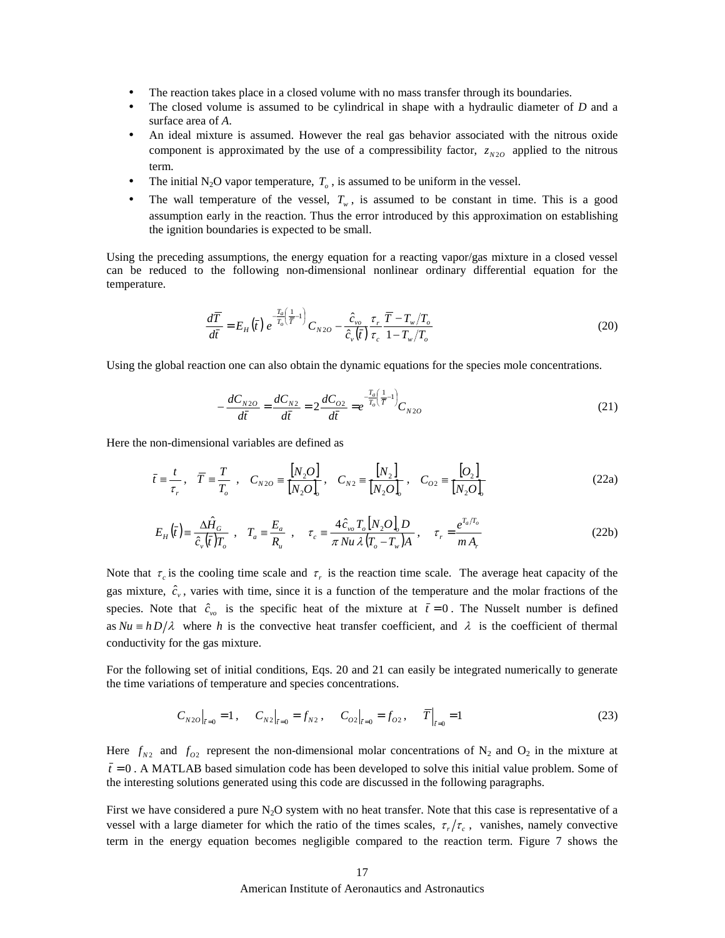- The reaction takes place in a closed volume with no mass transfer through its boundaries.
- The closed volume is assumed to be cylindrical in shape with a hydraulic diameter of *D* and a surface area of *A*.
- An ideal mixture is assumed. However the real gas behavior associated with the nitrous oxide component is approximated by the use of a compressibility factor,  $z_{N20}$  applied to the nitrous term.
- The initial N<sub>2</sub>O vapor temperature,  $T<sub>o</sub>$ , is assumed to be uniform in the vessel.
- The wall temperature of the vessel,  $T_w$ , is assumed to be constant in time. This is a good assumption early in the reaction. Thus the error introduced by this approximation on establishing the ignition boundaries is expected to be small.

Using the preceding assumptions, the energy equation for a reacting vapor/gas mixture in a closed vessel can be reduced to the following non-dimensional nonlinear ordinary differential equation for the temperature.

$$
\frac{d\overline{T}}{d\overline{t}} = E_H(\overline{t}) e^{-\frac{T_a}{T_o}(\frac{1}{\overline{T}}-1)} C_{N2O} - \frac{\hat{c}_{\nu_o}}{\hat{c}_{\nu}(\overline{t})} \frac{\tau_r}{\tau_c} \frac{\overline{T} - T_{\nu}/T_o}{1 - T_{\nu}/T_o}
$$
(20)

Using the global reaction one can also obtain the dynamic equations for the species mole concentrations.

$$
-\frac{dC_{N2O}}{d\bar{t}} = \frac{dC_{N2}}{d\bar{t}} = 2\frac{dC_{O2}}{d\bar{t}} = e^{\frac{T_a}{T_o}\left(\frac{1}{\bar{T}}-1\right)}C_{N2O}
$$
(21)

Here the non-dimensional variables are defined as

$$
\bar{t} \equiv \frac{t}{\tau_r}, \quad \bar{T} \equiv \frac{T}{T_o}, \quad C_{N2O} \equiv \frac{[N_2 O]}{[N_2 O]_o}, \quad C_{N2} \equiv \frac{[N_2]}{[N_2 O]_o}, \quad C_{O2} \equiv \frac{[O_2]}{[N_2 O]_o}
$$
(22a)

$$
E_H(\bar{t}) = \frac{\Delta \hat{H}_G}{\hat{c}_v(\bar{t})T_o}, \quad T_a = \frac{E_a}{R_u}, \quad \tau_c = \frac{4\hat{c}_{vo}T_o[N_2O]_oD}{\pi Nu \lambda (T_o - T_w)A}, \quad \tau_r = \frac{e^{T_a/T_o}}{m A_r}
$$
(22b)

Note that  $\tau_c$  is the cooling time scale and  $\tau_c$  is the reaction time scale. The average heat capacity of the gas mixture,  $\hat{c}_v$ , varies with time, since it is a function of the temperature and the molar fractions of the species. Note that  $\hat{c}_{v0}$  is the specific heat of the mixture at  $\bar{t} = 0$ . The Nusselt number is defined as  $Nu \equiv h D/\lambda$  where h is the convective heat transfer coefficient, and  $\lambda$  is the coefficient of thermal conductivity for the gas mixture.

For the following set of initial conditions, Eqs. 20 and 21 can easily be integrated numerically to generate the time variations of temperature and species concentrations.

$$
C_{N2O}|_{\bar{t}=0} = 1, \qquad C_{N2}|_{\bar{t}=0} = f_{N2}, \qquad C_{O2}|_{\bar{t}=0} = f_{O2}, \qquad \bar{T}|_{\bar{t}=0} = 1 \tag{23}
$$

Here  $f_{N2}$  and  $f_{O2}$  represent the non-dimensional molar concentrations of N<sub>2</sub> and O<sub>2</sub> in the mixture at  $\bar{t}$  = 0. A MATLAB based simulation code has been developed to solve this initial value problem. Some of the interesting solutions generated using this code are discussed in the following paragraphs.

First we have considered a pure  $N_2O$  system with no heat transfer. Note that this case is representative of a vessel with a large diameter for which the ratio of the times scales,  $\tau_r/\tau_c$ , vanishes, namely convective term in the energy equation becomes negligible compared to the reaction term. Figure 7 shows the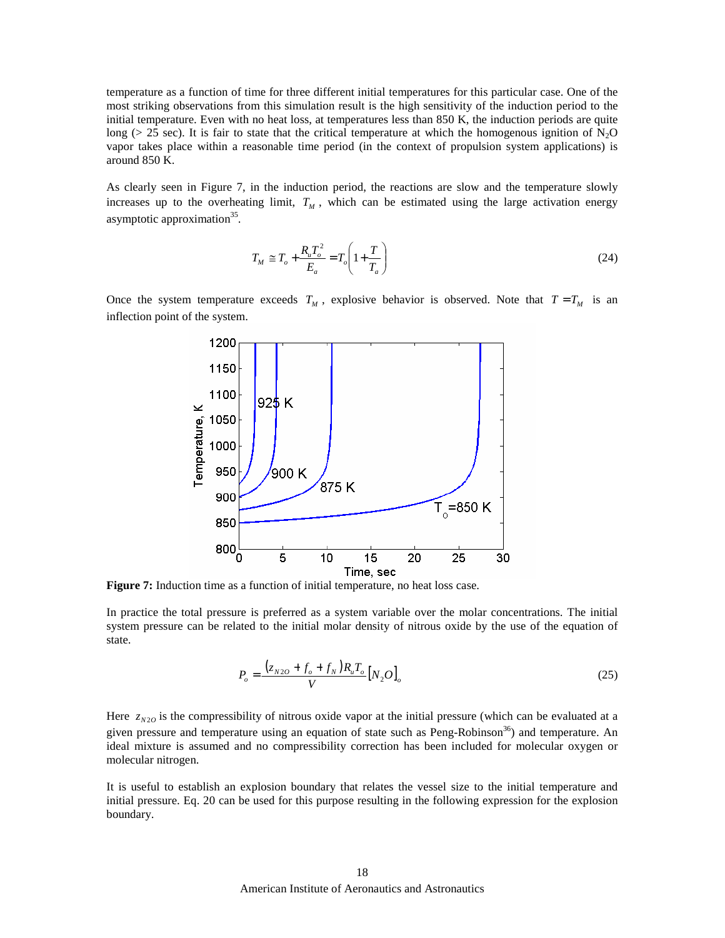temperature as a function of time for three different initial temperatures for this particular case. One of the most striking observations from this simulation result is the high sensitivity of the induction period to the initial temperature. Even with no heat loss, at temperatures less than 850 K, the induction periods are quite long ( $> 25$  sec). It is fair to state that the critical temperature at which the homogenous ignition of N<sub>2</sub>O vapor takes place within a reasonable time period (in the context of propulsion system applications) is around 850 K.

As clearly seen in Figure 7, in the induction period, the reactions are slow and the temperature slowly increases up to the overheating limit,  $T_M$ , which can be estimated using the large activation energy asymptotic approximation<sup>35</sup>.

$$
T_M \cong T_o + \frac{R_u T_o^2}{E_a} = T_o \left( 1 + \frac{T}{T_a} \right) \tag{24}
$$

Once the system temperature exceeds  $T_M$ , explosive behavior is observed. Note that  $T = T_M$  is an inflection point of the system.



**Figure 7:** Induction time as a function of initial temperature, no heat loss case.

In practice the total pressure is preferred as a system variable over the molar concentrations. The initial system pressure can be related to the initial molar density of nitrous oxide by the use of the equation of state.

$$
P_o = \frac{(z_{N2O} + f_o + f_N)R_uT_o}{V} [N_2O]_o
$$
\n(25)

Here  $z_{N20}$  is the compressibility of nitrous oxide vapor at the initial pressure (which can be evaluated at a given pressure and temperature using an equation of state such as Peng-Robinson<sup>36</sup>) and temperature. An ideal mixture is assumed and no compressibility correction has been included for molecular oxygen or molecular nitrogen.

It is useful to establish an explosion boundary that relates the vessel size to the initial temperature and initial pressure. Eq. 20 can be used for this purpose resulting in the following expression for the explosion boundary.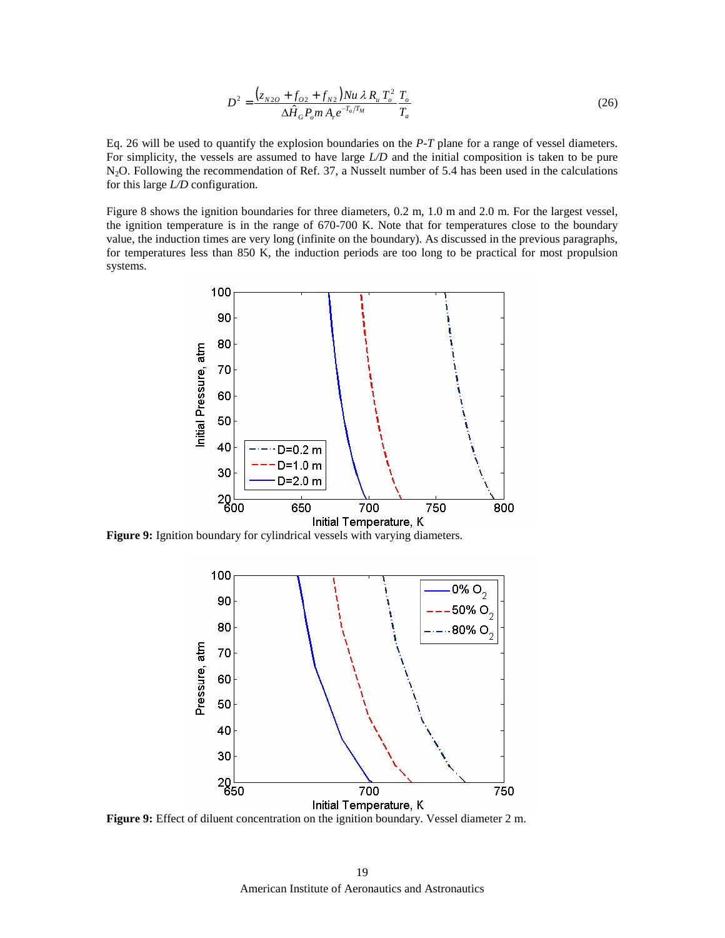$$
D^{2} = \frac{\left(z_{N2O} + f_{O2} + f_{N2}\right)Nu\,\lambda\,R_{u}\,T_{o}^{2}}{\Delta\hat{H}_{G}P_{o}m\,A_{r}e^{-T_{a}/T_{M}}}\frac{T_{o}}{T_{a}}
$$
\n(26)

Eq. 26 will be used to quantify the explosion boundaries on the *P-T* plane for a range of vessel diameters. For simplicity, the vessels are assumed to have large *L/D* and the initial composition is taken to be pure N2O. Following the recommendation of Ref. 37, a Nusselt number of 5.4 has been used in the calculations for this large *L/D* configuration.

Figure 8 shows the ignition boundaries for three diameters, 0.2 m, 1.0 m and 2.0 m. For the largest vessel, the ignition temperature is in the range of 670-700 K. Note that for temperatures close to the boundary value, the induction times are very long (infinite on the boundary). As discussed in the previous paragraphs, for temperatures less than 850 K, the induction periods are too long to be practical for most propulsion systems.



**Figure 9:** Ignition boundary for cylindrical vessels with varying diameters.



**Figure 9:** Effect of diluent concentration on the ignition boundary. Vessel diameter 2 m.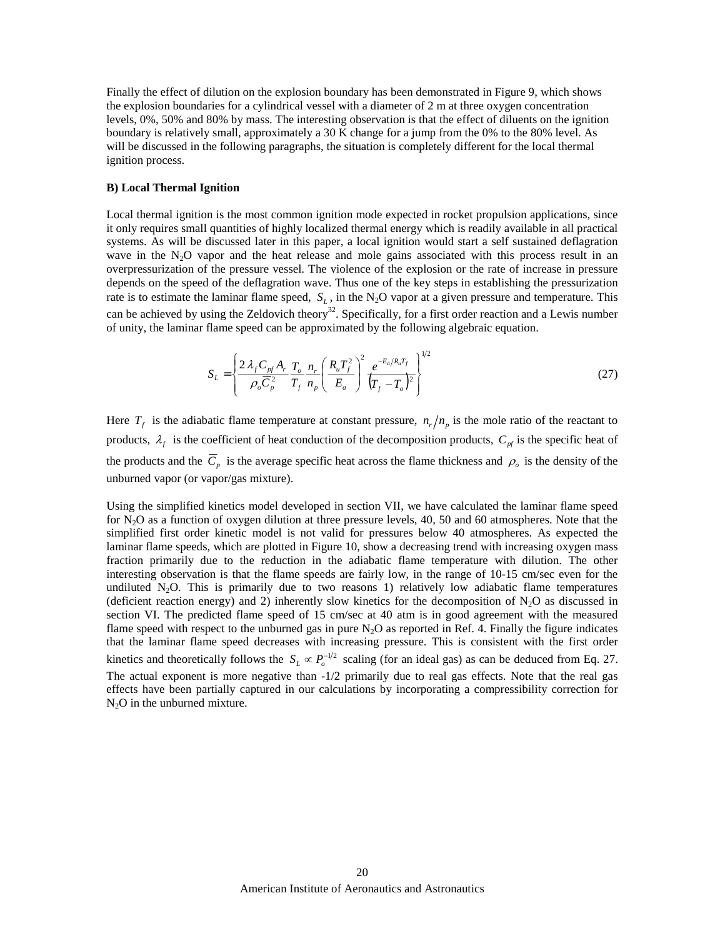Finally the effect of dilution on the explosion boundary has been demonstrated in Figure 9, which shows the explosion boundaries for a cylindrical vessel with a diameter of 2 m at three oxygen concentration levels, 0%, 50% and 80% by mass. The interesting observation is that the effect of diluents on the ignition boundary is relatively small, approximately a 30 K change for a jump from the 0% to the 80% level. As will be discussed in the following paragraphs, the situation is completely different for the local thermal ignition process.

## **B) Local Thermal Ignition**

Local thermal ignition is the most common ignition mode expected in rocket propulsion applications, since it only requires small quantities of highly localized thermal energy which is readily available in all practical systems. As will be discussed later in this paper, a local ignition would start a self sustained deflagration wave in the  $N<sub>2</sub>O$  vapor and the heat release and mole gains associated with this process result in an overpressurization of the pressure vessel. The violence of the explosion or the rate of increase in pressure depends on the speed of the deflagration wave. Thus one of the key steps in establishing the pressurization rate is to estimate the laminar flame speed,  $S_L$ , in the N<sub>2</sub>O vapor at a given pressure and temperature. This can be achieved by using the Zeldovich theory<sup>32</sup>. Specifically, for a first order reaction and a Lewis number of unity, the laminar flame speed can be approximated by the following algebraic equation.

$$
S_{L} = \left\{ \frac{2 \lambda_{f} C_{pf} A_{r}}{\rho_{o} \overline{C}_{p}^{2}} \frac{T_{o}}{T_{f}} \frac{n_{r}}{n_{p}} \left( \frac{R_{u} T_{f}^{2}}{E_{a}} \right)^{2} \frac{e^{-E_{a}/R_{u} T_{f}}}{\left(T_{f} - T_{o}\right)^{2}} \right\}^{1/2}
$$
(27)

Here  $T_f$  is the adiabatic flame temperature at constant pressure,  $n_r/n_p$  is the mole ratio of the reactant to products,  $\lambda_f$  is the coefficient of heat conduction of the decomposition products,  $C_{pf}$  is the specific heat of the products and the  $\overline{C}_p$  is the average specific heat across the flame thickness and  $\rho_o$  is the density of the unburned vapor (or vapor/gas mixture).

Using the simplified kinetics model developed in section VII, we have calculated the laminar flame speed for  $N_2O$  as a function of oxygen dilution at three pressure levels, 40, 50 and 60 atmospheres. Note that the simplified first order kinetic model is not valid for pressures below 40 atmospheres. As expected the laminar flame speeds, which are plotted in Figure 10, show a decreasing trend with increasing oxygen mass fraction primarily due to the reduction in the adiabatic flame temperature with dilution. The other interesting observation is that the flame speeds are fairly low, in the range of 10-15 cm/sec even for the undiluted  $N_2O$ . This is primarily due to two reasons 1) relatively low adiabatic flame temperatures (deficient reaction energy) and 2) inherently slow kinetics for the decomposition of  $N_2O$  as discussed in section VI. The predicted flame speed of 15 cm/sec at 40 atm is in good agreement with the measured flame speed with respect to the unburned gas in pure  $N_2O$  as reported in Ref. 4. Finally the figure indicates that the laminar flame speed decreases with increasing pressure. This is consistent with the first order kinetics and theoretically follows the  $S_L \propto P_o^{-1/2}$  scaling (for an ideal gas) as can be deduced from Eq. 27. The actual exponent is more negative than -1/2 primarily due to real gas effects. Note that the real gas effects have been partially captured in our calculations by incorporating a compressibility correction for  $N<sub>2</sub>O$  in the unburned mixture.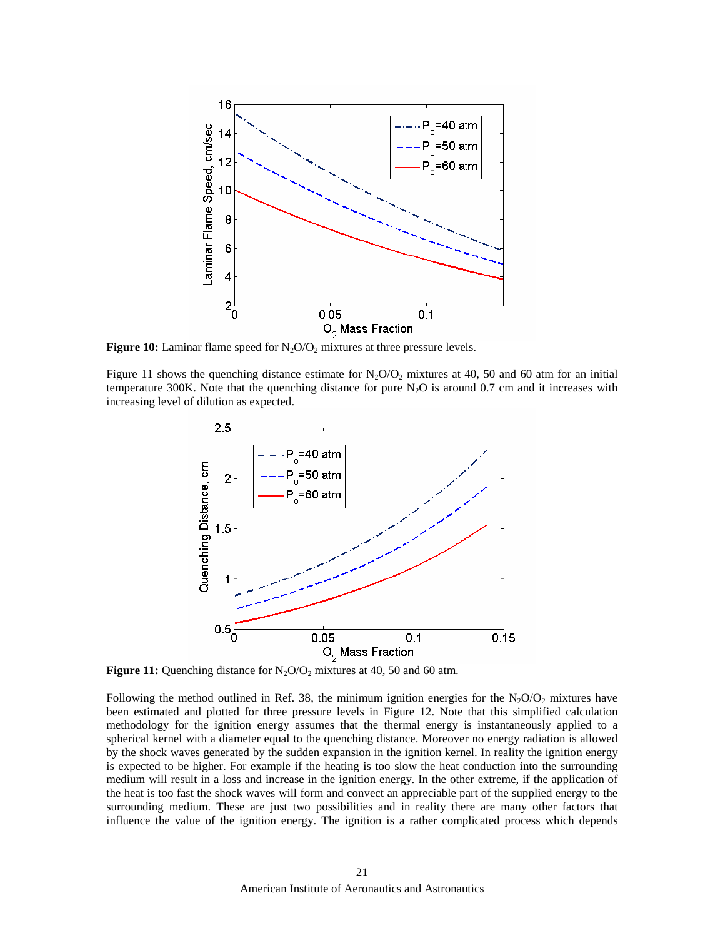

**Figure 10:** Laminar flame speed for  $N_2O/O_2$  mixtures at three pressure levels.

Figure 11 shows the quenching distance estimate for  $N<sub>2</sub>O/O<sub>2</sub>$  mixtures at 40, 50 and 60 atm for an initial temperature 300K. Note that the quenching distance for pure  $N_2O$  is around 0.7 cm and it increases with increasing level of dilution as expected.



**Figure 11:** Quenching distance for  $N_2O/O_2$  mixtures at 40, 50 and 60 atm.

Following the method outlined in Ref. 38, the minimum ignition energies for the  $N_2O/O_2$  mixtures have been estimated and plotted for three pressure levels in Figure 12. Note that this simplified calculation methodology for the ignition energy assumes that the thermal energy is instantaneously applied to a spherical kernel with a diameter equal to the quenching distance. Moreover no energy radiation is allowed by the shock waves generated by the sudden expansion in the ignition kernel. In reality the ignition energy is expected to be higher. For example if the heating is too slow the heat conduction into the surrounding medium will result in a loss and increase in the ignition energy. In the other extreme, if the application of the heat is too fast the shock waves will form and convect an appreciable part of the supplied energy to the surrounding medium. These are just two possibilities and in reality there are many other factors that influence the value of the ignition energy. The ignition is a rather complicated process which depends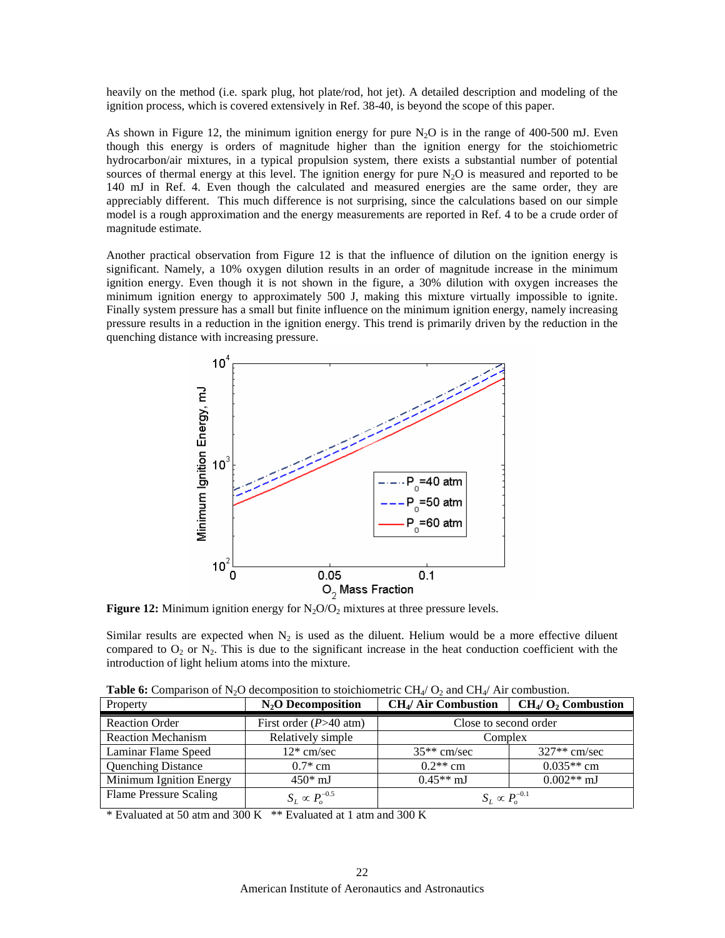heavily on the method (i.e. spark plug, hot plate/rod, hot jet). A detailed description and modeling of the ignition process, which is covered extensively in Ref. 38-40, is beyond the scope of this paper.

As shown in Figure 12, the minimum ignition energy for pure  $N<sub>2</sub>O$  is in the range of 400-500 mJ. Even though this energy is orders of magnitude higher than the ignition energy for the stoichiometric hydrocarbon/air mixtures, in a typical propulsion system, there exists a substantial number of potential sources of thermal energy at this level. The ignition energy for pure  $N_2O$  is measured and reported to be 140 mJ in Ref. 4. Even though the calculated and measured energies are the same order, they are appreciably different. This much difference is not surprising, since the calculations based on our simple model is a rough approximation and the energy measurements are reported in Ref. 4 to be a crude order of magnitude estimate.

Another practical observation from Figure 12 is that the influence of dilution on the ignition energy is significant. Namely, a 10% oxygen dilution results in an order of magnitude increase in the minimum ignition energy. Even though it is not shown in the figure, a 30% dilution with oxygen increases the minimum ignition energy to approximately 500 J, making this mixture virtually impossible to ignite. Finally system pressure has a small but finite influence on the minimum ignition energy, namely increasing pressure results in a reduction in the ignition energy. This trend is primarily driven by the reduction in the quenching distance with increasing pressure.



**Figure 12:** Minimum ignition energy for  $N_2O/O_2$  mixtures at three pressure levels.

Similar results are expected when  $N_2$  is used as the diluent. Helium would be a more effective diluent compared to  $O_2$  or  $N_2$ . This is due to the significant increase in the heat conduction coefficient with the introduction of light helium atoms into the mixture.

|  |  |  | <b>Table 6:</b> Comparison of N <sub>2</sub> O decomposition to stoichiometric CH <sub>4</sub> / O <sub>2</sub> and CH <sub>4</sub> / Air combustion. |  |  |
|--|--|--|-------------------------------------------------------------------------------------------------------------------------------------------------------|--|--|
|--|--|--|-------------------------------------------------------------------------------------------------------------------------------------------------------|--|--|

| Property                  | $N_2$ O Decomposition    | <b>CH<sub>4</sub>/ Air Combustion</b> | $CH4/O2$ Combustion |
|---------------------------|--------------------------|---------------------------------------|---------------------|
| <b>Reaction Order</b>     | First order $(P>40$ atm) | Close to second order                 |                     |
| <b>Reaction Mechanism</b> | Relatively simple        | Complex                               |                     |
| Laminar Flame Speed       | $12*$ cm/sec             | $35**$ cm/sec                         | $327**$ cm/sec      |
| <b>Quenching Distance</b> | $0.7*$ cm                | $0.2**$ cm                            | $0.035**$ cm        |
| Minimum Ignition Energy   | $450*$ mJ                | $0.45**$ mJ                           | $0.002**$ mJ        |
| Flame Pressure Scaling    | $S_I \propto P_o^{-0.5}$ | $S_L \propto P_o^{-0.1}$              |                     |

\* Evaluated at 50 atm and 300 K \*\* Evaluated at 1 atm and 300 K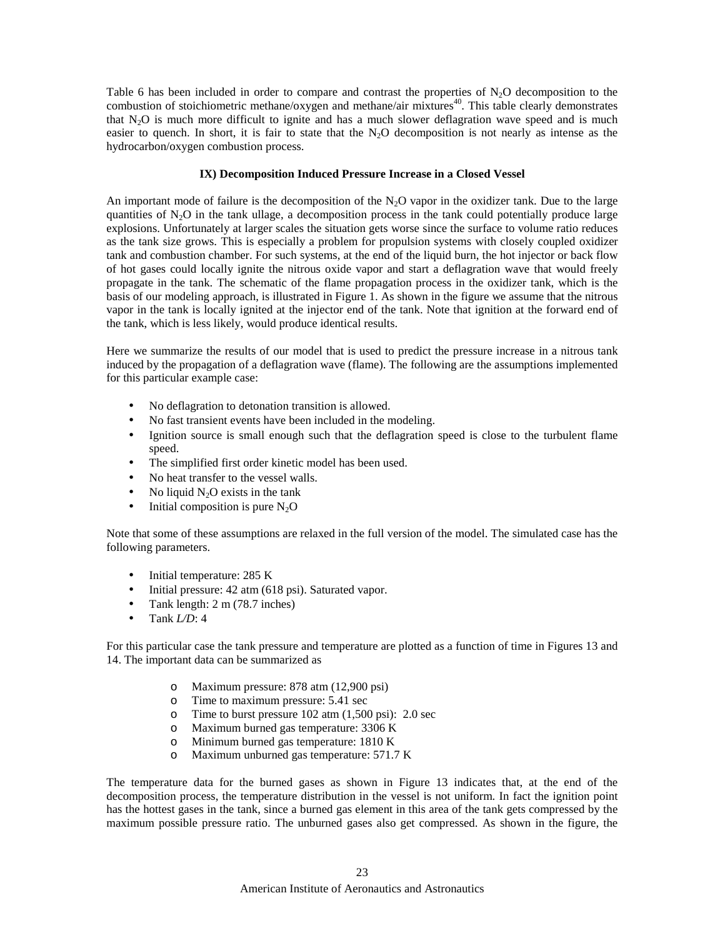Table 6 has been included in order to compare and contrast the properties of  $N_2O$  decomposition to the combustion of stoichiometric methane/oxygen and methane/air mixtures<sup>40</sup>. This table clearly demonstrates that  $N_2O$  is much more difficult to ignite and has a much slower deflagration wave speed and is much easier to quench. In short, it is fair to state that the  $N<sub>2</sub>O$  decomposition is not nearly as intense as the hydrocarbon/oxygen combustion process.

## **IX) Decomposition Induced Pressure Increase in a Closed Vessel**

An important mode of failure is the decomposition of the  $N_2O$  vapor in the oxidizer tank. Due to the large quantities of  $N_2O$  in the tank ullage, a decomposition process in the tank could potentially produce large explosions. Unfortunately at larger scales the situation gets worse since the surface to volume ratio reduces as the tank size grows. This is especially a problem for propulsion systems with closely coupled oxidizer tank and combustion chamber. For such systems, at the end of the liquid burn, the hot injector or back flow of hot gases could locally ignite the nitrous oxide vapor and start a deflagration wave that would freely propagate in the tank. The schematic of the flame propagation process in the oxidizer tank, which is the basis of our modeling approach, is illustrated in Figure 1. As shown in the figure we assume that the nitrous vapor in the tank is locally ignited at the injector end of the tank. Note that ignition at the forward end of the tank, which is less likely, would produce identical results.

Here we summarize the results of our model that is used to predict the pressure increase in a nitrous tank induced by the propagation of a deflagration wave (flame). The following are the assumptions implemented for this particular example case:

- No deflagration to detonation transition is allowed.
- No fast transient events have been included in the modeling.
- Ignition source is small enough such that the deflagration speed is close to the turbulent flame speed.
- The simplified first order kinetic model has been used.
- No heat transfer to the vessel walls.
- No liquid  $N<sub>2</sub>O$  exists in the tank
- Initial composition is pure  $N_2O$

Note that some of these assumptions are relaxed in the full version of the model. The simulated case has the following parameters.

- Initial temperature: 285 K
- Initial pressure: 42 atm (618 psi). Saturated vapor.
- Tank length: 2 m (78.7 inches)
- Tank *L/D*: 4

For this particular case the tank pressure and temperature are plotted as a function of time in Figures 13 and 14. The important data can be summarized as

- o Maximum pressure: 878 atm (12,900 psi)
- o Time to maximum pressure: 5.41 sec
- o Time to burst pressure 102 atm (1,500 psi): 2.0 sec
- o Maximum burned gas temperature: 3306 K
- o Minimum burned gas temperature: 1810 K
- o Maximum unburned gas temperature: 571.7 K

The temperature data for the burned gases as shown in Figure 13 indicates that, at the end of the decomposition process, the temperature distribution in the vessel is not uniform. In fact the ignition point has the hottest gases in the tank, since a burned gas element in this area of the tank gets compressed by the maximum possible pressure ratio. The unburned gases also get compressed. As shown in the figure, the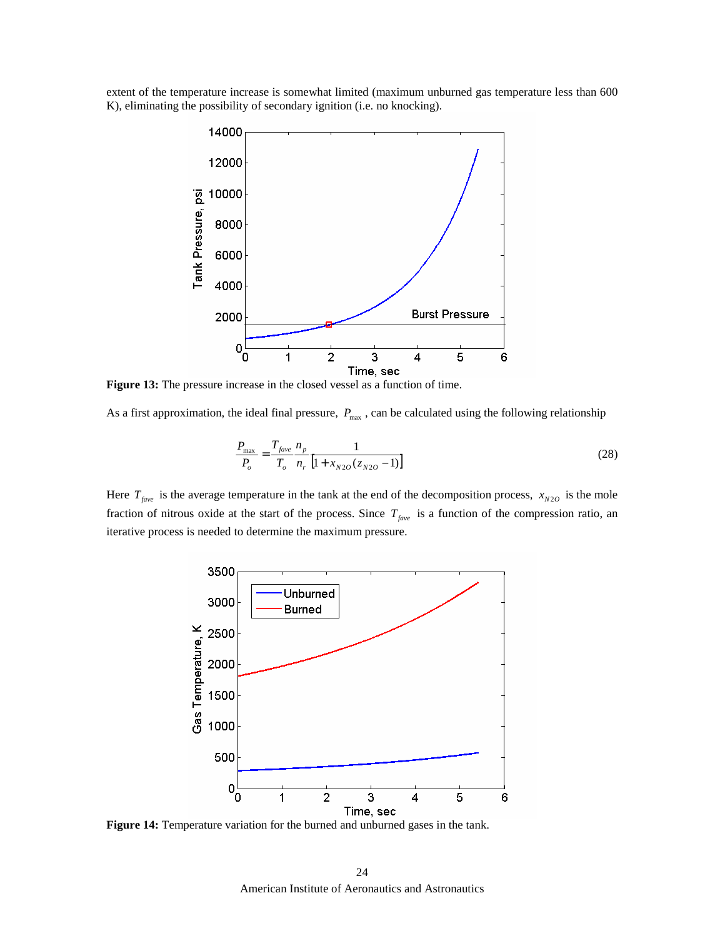extent of the temperature increase is somewhat limited (maximum unburned gas temperature less than 600 K), eliminating the possibility of secondary ignition (i.e. no knocking).



**Figure 13:** The pressure increase in the closed vessel as a function of time.

As a first approximation, the ideal final pressure,  $P_{\text{max}}$ , can be calculated using the following relationship

$$
\frac{P_{\text{max}}}{P_o} = \frac{T_{\text{face}}}{T_o} \frac{n_p}{n_r} \frac{1}{\left[1 + x_{N2O}(z_{N2O} - 1)\right]}
$$
(28)

Here  $T_{fave}$  is the average temperature in the tank at the end of the decomposition process,  $x_{N20}$  is the mole fraction of nitrous oxide at the start of the process. Since  $T_{fare}$  is a function of the compression ratio, an iterative process is needed to determine the maximum pressure.



**Figure 14:** Temperature variation for the burned and unburned gases in the tank.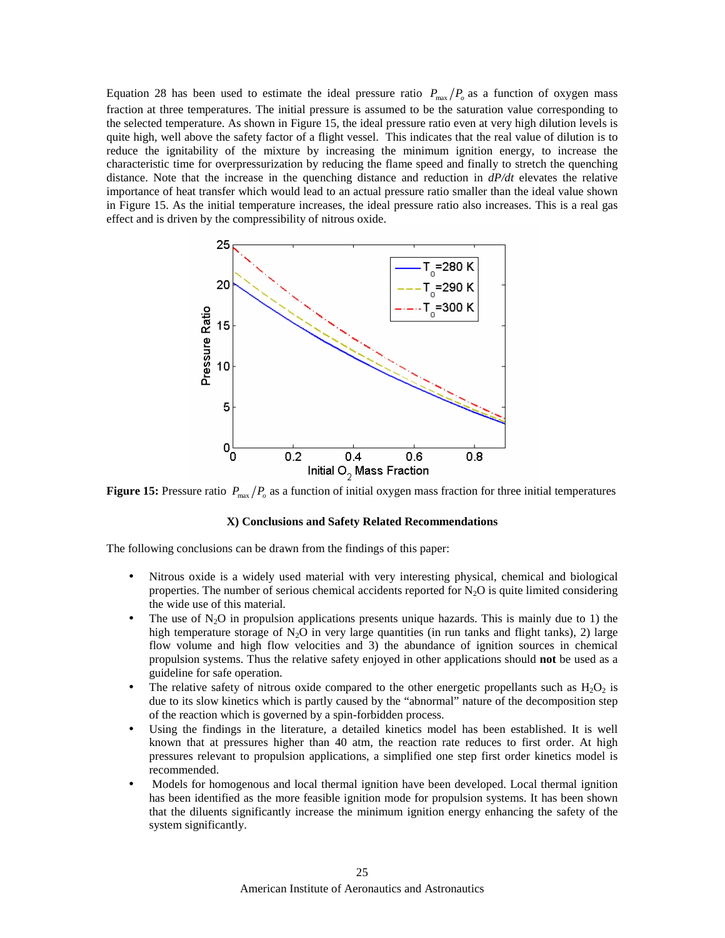Equation 28 has been used to estimate the ideal pressure ratio  $P_{\text{max}}/P_o$  as a function of oxygen mass fraction at three temperatures. The initial pressure is assumed to be the saturation value corresponding to the selected temperature. As shown in Figure 15, the ideal pressure ratio even at very high dilution levels is quite high, well above the safety factor of a flight vessel. This indicates that the real value of dilution is to reduce the ignitability of the mixture by increasing the minimum ignition energy, to increase the characteristic time for overpressurization by reducing the flame speed and finally to stretch the quenching distance. Note that the increase in the quenching distance and reduction in *dP/dt* elevates the relative importance of heat transfer which would lead to an actual pressure ratio smaller than the ideal value shown in Figure 15. As the initial temperature increases, the ideal pressure ratio also increases. This is a real gas effect and is driven by the compressibility of nitrous oxide.



**Figure 15:** Pressure ratio  $P_{\text{max}}/P_{\text{o}}$  as a function of initial oxygen mass fraction for three initial temperatures

#### **X) Conclusions and Safety Related Recommendations**

The following conclusions can be drawn from the findings of this paper:

- Nitrous oxide is a widely used material with very interesting physical, chemical and biological properties. The number of serious chemical accidents reported for  $N<sub>2</sub>O$  is quite limited considering the wide use of this material.
- The use of  $N_2O$  in propulsion applications presents unique hazards. This is mainly due to 1) the high temperature storage of  $N_2O$  in very large quantities (in run tanks and flight tanks), 2) large flow volume and high flow velocities and 3) the abundance of ignition sources in chemical propulsion systems. Thus the relative safety enjoyed in other applications should **not** be used as a guideline for safe operation.
- The relative safety of nitrous oxide compared to the other energetic propellants such as  $H_2O_2$  is due to its slow kinetics which is partly caused by the "abnormal" nature of the decomposition step of the reaction which is governed by a spin-forbidden process.
- Using the findings in the literature, a detailed kinetics model has been established. It is well known that at pressures higher than 40 atm, the reaction rate reduces to first order. At high pressures relevant to propulsion applications, a simplified one step first order kinetics model is recommended.
- Models for homogenous and local thermal ignition have been developed. Local thermal ignition has been identified as the more feasible ignition mode for propulsion systems. It has been shown that the diluents significantly increase the minimum ignition energy enhancing the safety of the system significantly.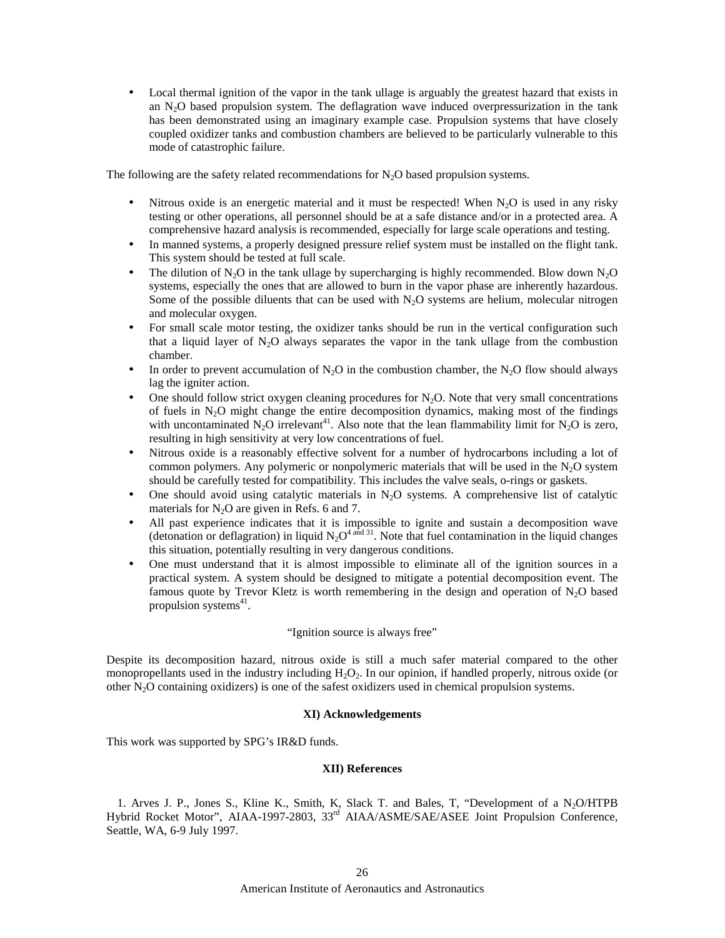• Local thermal ignition of the vapor in the tank ullage is arguably the greatest hazard that exists in an  $N<sub>2</sub>O$  based propulsion system. The deflagration wave induced overpressurization in the tank has been demonstrated using an imaginary example case. Propulsion systems that have closely coupled oxidizer tanks and combustion chambers are believed to be particularly vulnerable to this mode of catastrophic failure.

The following are the safety related recommendations for  $N<sub>2</sub>O$  based propulsion systems.

- Nitrous oxide is an energetic material and it must be respected! When  $N_2O$  is used in any risky testing or other operations, all personnel should be at a safe distance and/or in a protected area. A comprehensive hazard analysis is recommended, especially for large scale operations and testing.
- In manned systems, a properly designed pressure relief system must be installed on the flight tank. This system should be tested at full scale.
- The dilution of  $N_2O$  in the tank ullage by supercharging is highly recommended. Blow down  $N_2O$ systems, especially the ones that are allowed to burn in the vapor phase are inherently hazardous. Some of the possible diluents that can be used with  $N<sub>2</sub>O$  systems are helium, molecular nitrogen and molecular oxygen.
- For small scale motor testing, the oxidizer tanks should be run in the vertical configuration such that a liquid layer of  $N_2O$  always separates the vapor in the tank ullage from the combustion chamber.
- In order to prevent accumulation of  $N_2O$  in the combustion chamber, the  $N_2O$  flow should always lag the igniter action.
- One should follow strict oxygen cleaning procedures for  $N_2O$ . Note that very small concentrations of fuels in  $N_2O$  might change the entire decomposition dynamics, making most of the findings with uncontaminated N<sub>2</sub>O irrelevant<sup>41</sup>. Also note that the lean flammability limit for N<sub>2</sub>O is zero, resulting in high sensitivity at very low concentrations of fuel.
- Nitrous oxide is a reasonably effective solvent for a number of hydrocarbons including a lot of common polymers. Any polymeric or nonpolymeric materials that will be used in the  $N_2O$  system should be carefully tested for compatibility. This includes the valve seals, o-rings or gaskets.
- One should avoid using catalytic materials in  $N<sub>2</sub>O$  systems. A comprehensive list of catalytic materials for  $N_2O$  are given in Refs. 6 and 7.
- All past experience indicates that it is impossible to ignite and sustain a decomposition wave (detonation or deflagration) in liquid  $N_2O^{4 \text{ and } 31}$ . Note that fuel contamination in the liquid changes this situation, potentially resulting in very dangerous conditions.
- One must understand that it is almost impossible to eliminate all of the ignition sources in a practical system. A system should be designed to mitigate a potential decomposition event. The famous quote by Trevor Kletz is worth remembering in the design and operation of  $N_2O$  based propulsion systems<sup>41</sup>.

# "Ignition source is always free"

Despite its decomposition hazard, nitrous oxide is still a much safer material compared to the other monopropellants used in the industry including  $H_2O_2$ . In our opinion, if handled properly, nitrous oxide (or other  $N<sub>2</sub>O$  containing oxidizers) is one of the safest oxidizers used in chemical propulsion systems.

#### **XI) Acknowledgements**

This work was supported by SPG's IR&D funds.

## **XII) References**

1. Arves J. P., Jones S., Kline K., Smith, K. Slack T. and Bales, T. "Development of a N<sub>2</sub>O/HTPB Hybrid Rocket Motor", AIAA-1997-2803, 33rd AIAA/ASME/SAE/ASEE Joint Propulsion Conference, Seattle, WA, 6-9 July 1997.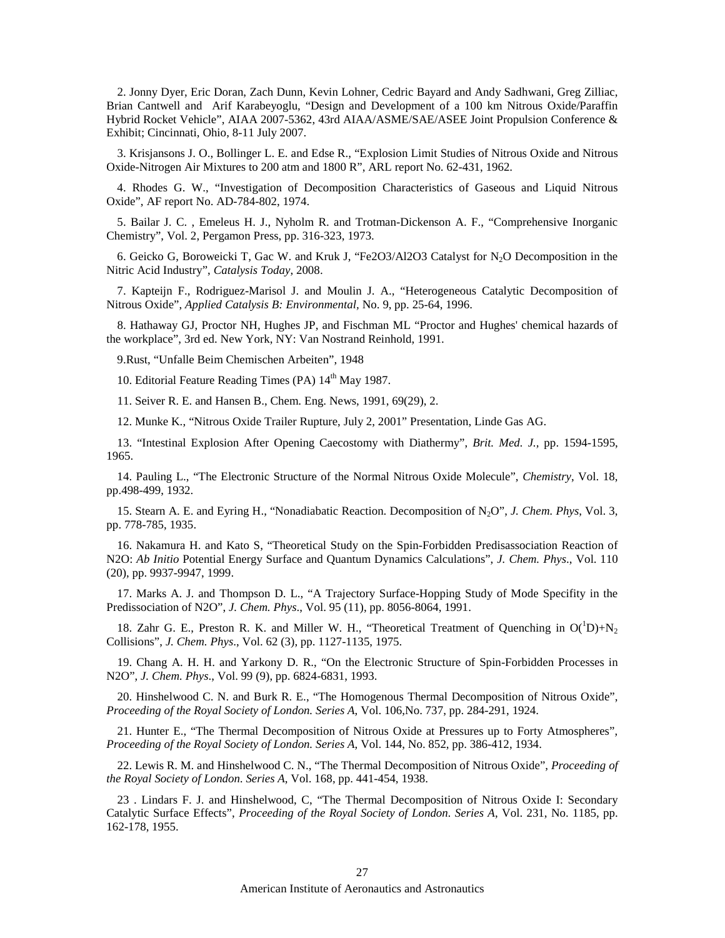2. Jonny Dyer, Eric Doran, Zach Dunn, Kevin Lohner*,* Cedric Bayard and Andy Sadhwani*,* Greg Zilliac, Brian Cantwell and Arif Karabeyoglu, "Design and Development of a 100 km Nitrous Oxide/Paraffin Hybrid Rocket Vehicle", AIAA 2007-5362, 43rd AIAA/ASME/SAE/ASEE Joint Propulsion Conference & Exhibit; Cincinnati, Ohio, 8-11 July 2007.

3. Krisjansons J. O., Bollinger L. E. and Edse R., "Explosion Limit Studies of Nitrous Oxide and Nitrous Oxide-Nitrogen Air Mixtures to 200 atm and 1800 R", ARL report No. 62-431, 1962.

4. Rhodes G. W., "Investigation of Decomposition Characteristics of Gaseous and Liquid Nitrous Oxide", AF report No. AD-784-802, 1974.

5. Bailar J. C. , Emeleus H. J., Nyholm R. and Trotman-Dickenson A. F., "Comprehensive Inorganic Chemistry", Vol. 2, Pergamon Press, pp. 316-323, 1973.

6. Geicko G, Boroweicki T, Gac W. and Kruk J, "Fe2O3/Al2O3 Catalyst for N<sub>2</sub>O Decomposition in the Nitric Acid Industry", *Catalysis Today*, 2008.

7. Kapteijn F., Rodriguez-Marisol J. and Moulin J. A., "Heterogeneous Catalytic Decomposition of Nitrous Oxide", *Applied Catalysis B: Environmental,* No. 9, pp. 25-64, 1996.

8. Hathaway GJ, Proctor NH, Hughes JP, and Fischman ML "Proctor and Hughes' chemical hazards of the workplace", 3rd ed. New York, NY: Van Nostrand Reinhold, 1991.

9.Rust, "Unfalle Beim Chemischen Arbeiten", 1948

10. Editorial Feature Reading Times (PA)  $14<sup>th</sup>$  May 1987.

11. Seiver R. E. and Hansen B., Chem. Eng. News, 1991, 69(29), 2.

12. Munke K., "Nitrous Oxide Trailer Rupture, July 2, 2001" Presentation, Linde Gas AG.

13. "Intestinal Explosion After Opening Caecostomy with Diathermy", *Brit. Med. J.,* pp. 1594-1595, 1965.

14. Pauling L., "The Electronic Structure of the Normal Nitrous Oxide Molecule", *Chemistry*, Vol. 18, pp.498-499, 1932.

15. Stearn A. E. and Eyring H., "Nonadiabatic Reaction. Decomposition of N2O", *J. Chem. Phys*, Vol. 3, pp. 778-785, 1935.

16. Nakamura H. and Kato S, "Theoretical Study on the Spin-Forbidden Predisassociation Reaction of N2O: *Ab Initio* Potential Energy Surface and Quantum Dynamics Calculations", *J. Chem. Phys*., Vol. 110 (20), pp. 9937-9947, 1999.

17. Marks A. J. and Thompson D. L., "A Trajectory Surface-Hopping Study of Mode Specifity in the Predissociation of N2O", *J. Chem. Phys*., Vol. 95 (11), pp. 8056-8064, 1991.

18. Zahr G. E., Preston R. K. and Miller W. H., "Theoretical Treatment of Quenching in  $O(^1D) + N_2$ Collisions", *J. Chem. Phys*., Vol. 62 (3), pp. 1127-1135, 1975.

19. Chang A. H. H. and Yarkony D. R., "On the Electronic Structure of Spin-Forbidden Processes in N2O", *J. Chem. Phys*., Vol. 99 (9), pp. 6824-6831, 1993.

20. Hinshelwood C. N. and Burk R. E., "The Homogenous Thermal Decomposition of Nitrous Oxide", *Proceeding of the Royal Society of London. Series A*, Vol. 106,No. 737, pp. 284-291, 1924.

21. Hunter E., "The Thermal Decomposition of Nitrous Oxide at Pressures up to Forty Atmospheres", *Proceeding of the Royal Society of London. Series A*, Vol. 144, No. 852, pp. 386-412, 1934.

22. Lewis R. M. and Hinshelwood C. N., "The Thermal Decomposition of Nitrous Oxide", *Proceeding of the Royal Society of London. Series A*, Vol. 168, pp. 441-454, 1938.

23 . Lindars F. J. and Hinshelwood, C, "The Thermal Decomposition of Nitrous Oxide I: Secondary Catalytic Surface Effects", *Proceeding of the Royal Society of London. Series A*, Vol. 231, No. 1185, pp. 162-178, 1955.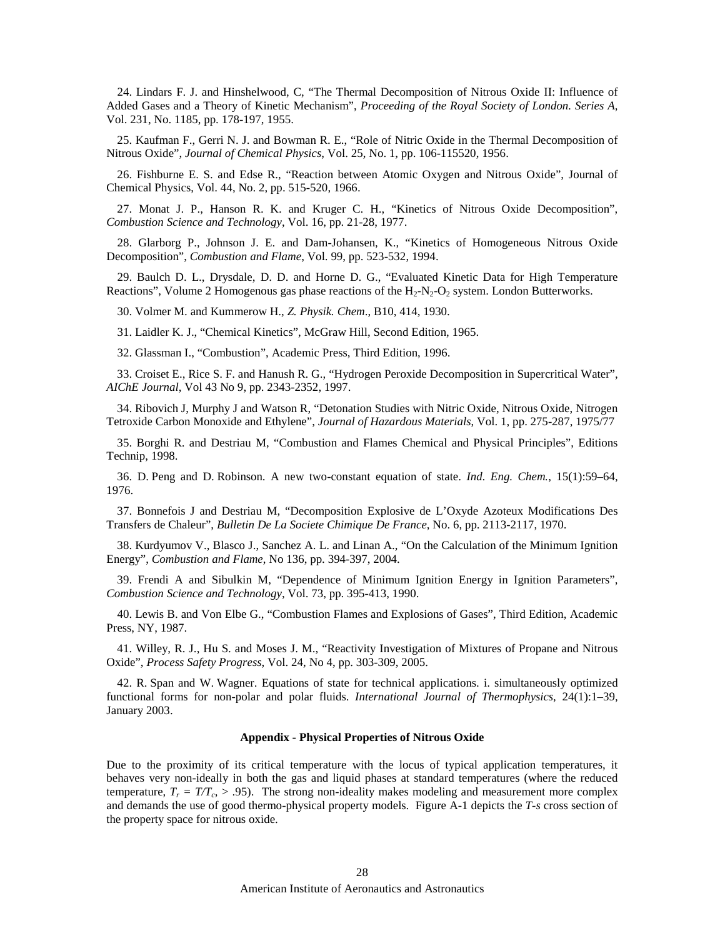24. Lindars F. J. and Hinshelwood, C, "The Thermal Decomposition of Nitrous Oxide II: Influence of Added Gases and a Theory of Kinetic Mechanism", *Proceeding of the Royal Society of London. Series A*, Vol. 231, No. 1185, pp. 178-197, 1955.

25. Kaufman F., Gerri N. J. and Bowman R. E., "Role of Nitric Oxide in the Thermal Decomposition of Nitrous Oxide", *Journal of Chemical Physics*, Vol. 25, No. 1, pp. 106-115520, 1956.

26. Fishburne E. S. and Edse R., "Reaction between Atomic Oxygen and Nitrous Oxide", Journal of Chemical Physics, Vol. 44, No. 2, pp. 515-520, 1966.

27. Monat J. P., Hanson R. K. and Kruger C. H., "Kinetics of Nitrous Oxide Decomposition", *Combustion Science and Technology*, Vol. 16, pp. 21-28, 1977.

28. Glarborg P., Johnson J. E. and Dam-Johansen, K., "Kinetics of Homogeneous Nitrous Oxide Decomposition", *Combustion and Flame*, Vol. 99, pp. 523-532, 1994.

29. Baulch D. L., Drysdale, D. D. and Horne D. G., "Evaluated Kinetic Data for High Temperature Reactions", Volume 2 Homogenous gas phase reactions of the  $H_2-N_2-O_2$  system. London Butterworks.

30. Volmer M. and Kummerow H., *Z. Physik. Chem*., B10, 414, 1930.

31. Laidler K. J., "Chemical Kinetics", McGraw Hill, Second Edition, 1965.

32. Glassman I., "Combustion", Academic Press, Third Edition, 1996.

33. Croiset E., Rice S. F. and Hanush R. G., "Hydrogen Peroxide Decomposition in Supercritical Water", *AIChE Journal*, Vol 43 No 9, pp. 2343-2352, 1997.

34. Ribovich J, Murphy J and Watson R, "Detonation Studies with Nitric Oxide, Nitrous Oxide, Nitrogen Tetroxide Carbon Monoxide and Ethylene", *Journal of Hazardous Materials*, Vol. 1, pp. 275-287, 1975/77

35. Borghi R. and Destriau M, "Combustion and Flames Chemical and Physical Principles", Editions Technip, 1998.

36. D. Peng and D. Robinson. A new two-constant equation of state. *Ind. Eng. Chem.*, 15(1):59–64, 1976.

37. Bonnefois J and Destriau M, "Decomposition Explosive de L'Oxyde Azoteux Modifications Des Transfers de Chaleur", *Bulletin De La Societe Chimique De France*, No. 6, pp. 2113-2117, 1970.

38. Kurdyumov V., Blasco J., Sanchez A. L. and Linan A., "On the Calculation of the Minimum Ignition Energy", *Combustion and Flame*, No 136, pp. 394-397, 2004.

39. Frendi A and Sibulkin M, "Dependence of Minimum Ignition Energy in Ignition Parameters", *Combustion Science and Technology*, Vol. 73, pp. 395-413, 1990.

40. Lewis B. and Von Elbe G., "Combustion Flames and Explosions of Gases", Third Edition, Academic Press, NY, 1987.

41. Willey, R. J., Hu S. and Moses J. M., "Reactivity Investigation of Mixtures of Propane and Nitrous Oxide", *Process Safety Progress*, Vol. 24, No 4, pp. 303-309, 2005.

42. R. Span and W. Wagner. Equations of state for technical applications. i. simultaneously optimized functional forms for non-polar and polar fluids. *International Journal of Thermophysics*, 24(1):1–39, January 2003.

#### **Appendix - Physical Properties of Nitrous Oxide**

Due to the proximity of its critical temperature with the locus of typical application temperatures, it behaves very non-ideally in both the gas and liquid phases at standard temperatures (where the reduced temperature,  $T_r = T/T_c$ ,  $> 0.95$ ). The strong non-ideality makes modeling and measurement more complex and demands the use of good thermo-physical property models. Figure A-1 depicts the *T-s* cross section of the property space for nitrous oxide.